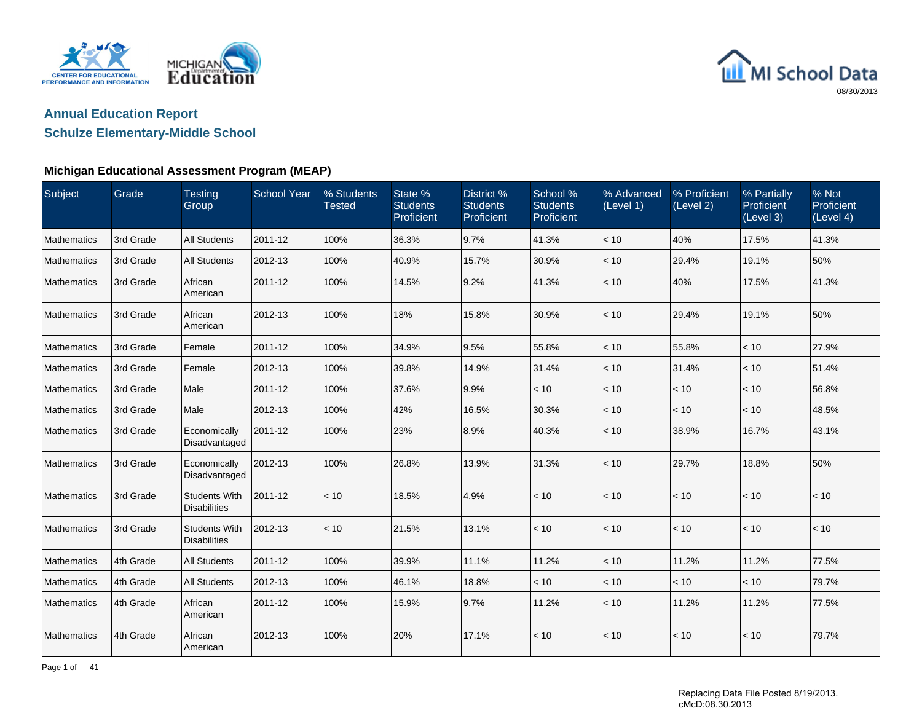



## **Schulze Elementary-Middle School**

### **Michigan Educational Assessment Program (MEAP)**

| Subject            | Grade     | <b>Testing</b><br>Group                     | <b>School Year</b> | % Students<br><b>Tested</b> | State %<br><b>Students</b><br>Proficient | District %<br><b>Students</b><br>Proficient | School %<br><b>Students</b><br>Proficient | % Advanced<br>(Level 1) | % Proficient<br>(Level 2) | % Partially<br>Proficient<br>(Level 3) | % Not<br>Proficient<br>(Level 4) |
|--------------------|-----------|---------------------------------------------|--------------------|-----------------------------|------------------------------------------|---------------------------------------------|-------------------------------------------|-------------------------|---------------------------|----------------------------------------|----------------------------------|
| <b>Mathematics</b> | 3rd Grade | <b>All Students</b>                         | 2011-12            | 100%                        | 36.3%                                    | 9.7%                                        | 41.3%                                     | $<10$                   | 40%                       | 17.5%                                  | 41.3%                            |
| <b>Mathematics</b> | 3rd Grade | <b>All Students</b>                         | 2012-13            | 100%                        | 40.9%                                    | 15.7%                                       | 30.9%                                     | < 10                    | 29.4%                     | 19.1%                                  | 50%                              |
| Mathematics        | 3rd Grade | African<br>American                         | 2011-12            | 100%                        | 14.5%                                    | 9.2%                                        | 41.3%                                     | < 10                    | 40%                       | 17.5%                                  | 41.3%                            |
| <b>Mathematics</b> | 3rd Grade | African<br>American                         | 2012-13            | 100%                        | 18%                                      | 15.8%                                       | 30.9%                                     | < 10                    | 29.4%                     | 19.1%                                  | 50%                              |
| <b>Mathematics</b> | 3rd Grade | Female                                      | 2011-12            | 100%                        | 34.9%                                    | 9.5%                                        | 55.8%                                     | < 10                    | 55.8%                     | < 10                                   | 27.9%                            |
| Mathematics        | 3rd Grade | Female                                      | 2012-13            | 100%                        | 39.8%                                    | 14.9%                                       | 31.4%                                     | < 10                    | 31.4%                     | < 10                                   | 51.4%                            |
| Mathematics        | 3rd Grade | Male                                        | 2011-12            | 100%                        | 37.6%                                    | 9.9%                                        | < 10                                      | < 10                    | < 10                      | < 10                                   | 56.8%                            |
| Mathematics        | 3rd Grade | Male                                        | 2012-13            | 100%                        | 42%                                      | 16.5%                                       | 30.3%                                     | $<10$                   | < 10                      | < 10                                   | 48.5%                            |
| Mathematics        | 3rd Grade | Economically<br>Disadvantaged               | 2011-12            | 100%                        | 23%                                      | 8.9%                                        | 40.3%                                     | < 10                    | 38.9%                     | 16.7%                                  | 43.1%                            |
| Mathematics        | 3rd Grade | Economically<br>Disadvantaged               | 2012-13            | 100%                        | 26.8%                                    | 13.9%                                       | 31.3%                                     | < 10                    | 29.7%                     | 18.8%                                  | 50%                              |
| Mathematics        | 3rd Grade | <b>Students With</b><br><b>Disabilities</b> | 2011-12            | < 10                        | 18.5%                                    | 4.9%                                        | < 10                                      | < 10                    | < 10                      | < 10                                   | $<10$                            |
| Mathematics        | 3rd Grade | <b>Students With</b><br><b>Disabilities</b> | 2012-13            | < 10                        | 21.5%                                    | 13.1%                                       | < 10                                      | < 10                    | < 10                      | < 10                                   | < 10                             |
| Mathematics        | 4th Grade | <b>All Students</b>                         | 2011-12            | 100%                        | 39.9%                                    | 11.1%                                       | 11.2%                                     | < 10                    | 11.2%                     | 11.2%                                  | 77.5%                            |
| Mathematics        | 4th Grade | <b>All Students</b>                         | 2012-13            | 100%                        | 46.1%                                    | 18.8%                                       | < 10                                      | < 10                    | < 10                      | < 10                                   | 79.7%                            |
| <b>Mathematics</b> | 4th Grade | African<br>American                         | 2011-12            | 100%                        | 15.9%                                    | 9.7%                                        | 11.2%                                     | < 10                    | 11.2%                     | 11.2%                                  | 77.5%                            |
| Mathematics        | 4th Grade | African<br>American                         | 2012-13            | 100%                        | 20%                                      | 17.1%                                       | < 10                                      | < 10                    | < 10                      | < 10                                   | 79.7%                            |

Page 1 of 41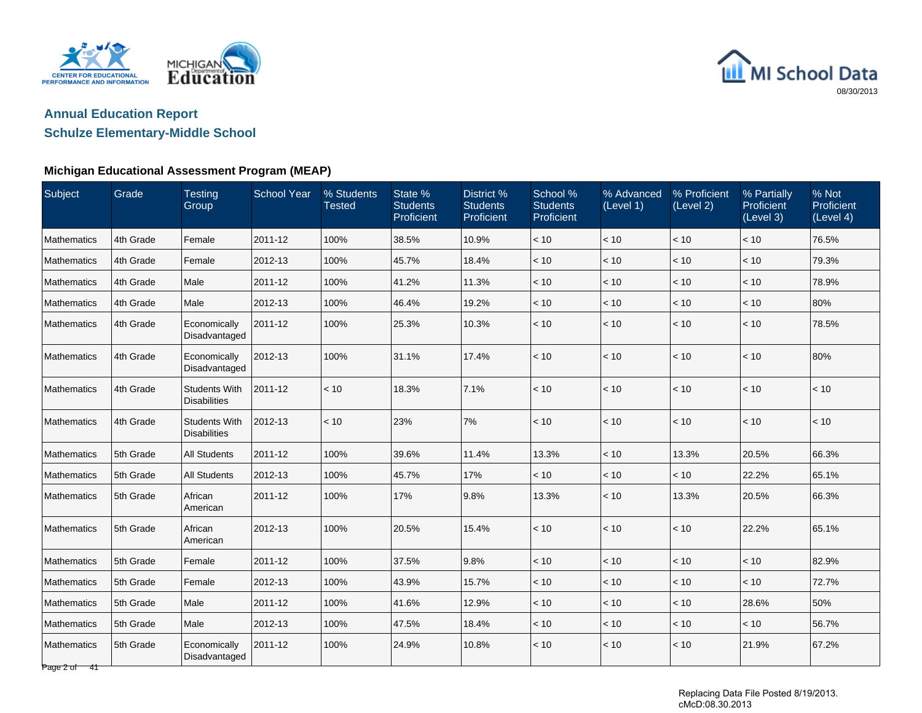



## **Schulze Elementary-Middle School**

| Subject                     | Grade     | <b>Testing</b><br>Group                     | <b>School Year</b> | % Students<br><b>Tested</b> | State %<br><b>Students</b><br>Proficient | District %<br><b>Students</b><br>Proficient | School %<br><b>Students</b><br>Proficient | % Advanced<br>(Level 1) | % Proficient<br>(Level 2) | % Partially<br>Proficient<br>(Level 3) | % Not<br>Proficient<br>(Level 4) |
|-----------------------------|-----------|---------------------------------------------|--------------------|-----------------------------|------------------------------------------|---------------------------------------------|-------------------------------------------|-------------------------|---------------------------|----------------------------------------|----------------------------------|
| Mathematics                 | 4th Grade | Female                                      | 2011-12            | 100%                        | 38.5%                                    | 10.9%                                       | < 10                                      | < 10                    | < 10                      | < 10                                   | 76.5%                            |
| Mathematics                 | 4th Grade | Female                                      | 2012-13            | 100%                        | 45.7%                                    | 18.4%                                       | $<10$                                     | $<10$                   | $<10$                     | < 10                                   | 79.3%                            |
| Mathematics                 | 4th Grade | Male                                        | 2011-12            | 100%                        | 41.2%                                    | 11.3%                                       | < 10                                      | < 10                    | < 10                      | < 10                                   | 78.9%                            |
| <b>Mathematics</b>          | 4th Grade | Male                                        | 2012-13            | 100%                        | 46.4%                                    | 19.2%                                       | < 10                                      | < 10                    | < 10                      | < 10                                   | 80%                              |
| Mathematics                 | 4th Grade | Economically<br>Disadvantaged               | 2011-12            | 100%                        | 25.3%                                    | 10.3%                                       | < 10                                      | < 10                    | < 10                      | < 10                                   | 78.5%                            |
| Mathematics                 | 4th Grade | Economically<br>Disadvantaged               | 2012-13            | 100%                        | 31.1%                                    | 17.4%                                       | < 10                                      | < 10                    | < 10                      | < 10                                   | 80%                              |
| Mathematics                 | 4th Grade | <b>Students With</b><br><b>Disabilities</b> | 2011-12            | < 10                        | 18.3%                                    | 7.1%                                        | < 10                                      | < 10                    | < 10                      | < 10                                   | < 10                             |
| Mathematics                 | 4th Grade | <b>Students With</b><br><b>Disabilities</b> | 2012-13            | < 10                        | 23%                                      | 7%                                          | < 10                                      | < 10                    | < 10                      | < 10                                   | < 10                             |
| Mathematics                 | 5th Grade | <b>All Students</b>                         | 2011-12            | 100%                        | 39.6%                                    | 11.4%                                       | 13.3%                                     | < 10                    | 13.3%                     | 20.5%                                  | 66.3%                            |
| Mathematics                 | 5th Grade | All Students                                | 2012-13            | 100%                        | 45.7%                                    | 17%                                         | < 10                                      | < 10                    | < 10                      | 22.2%                                  | 65.1%                            |
| <b>Mathematics</b>          | 5th Grade | African<br>American                         | 2011-12            | 100%                        | 17%                                      | 9.8%                                        | 13.3%                                     | < 10                    | 13.3%                     | 20.5%                                  | 66.3%                            |
| l Mathematics               | 5th Grade | African<br>American                         | 2012-13            | 100%                        | 20.5%                                    | 15.4%                                       | < 10                                      | < 10                    | < 10                      | 22.2%                                  | 65.1%                            |
| Mathematics                 | 5th Grade | Female                                      | 2011-12            | 100%                        | 37.5%                                    | 9.8%                                        | < 10                                      | < 10                    | < 10                      | < 10                                   | 82.9%                            |
| Mathematics                 | 5th Grade | Female                                      | 2012-13            | 100%                        | 43.9%                                    | 15.7%                                       | < 10                                      | $<10$                   | $<10$                     | < 10                                   | 72.7%                            |
| Mathematics                 | 5th Grade | Male                                        | 2011-12            | 100%                        | 41.6%                                    | 12.9%                                       | < 10                                      | < 10                    | < 10                      | 28.6%                                  | 50%                              |
| Mathematics                 | 5th Grade | Male                                        | 2012-13            | 100%                        | 47.5%                                    | 18.4%                                       | < 10                                      | < 10                    | < 10                      | < 10                                   | 56.7%                            |
| Mathematics<br>Page 2 of 41 | 5th Grade | Economically<br>Disadvantaged               | 2011-12            | 100%                        | 24.9%                                    | 10.8%                                       | < 10                                      | < 10                    | < 10                      | 21.9%                                  | 67.2%                            |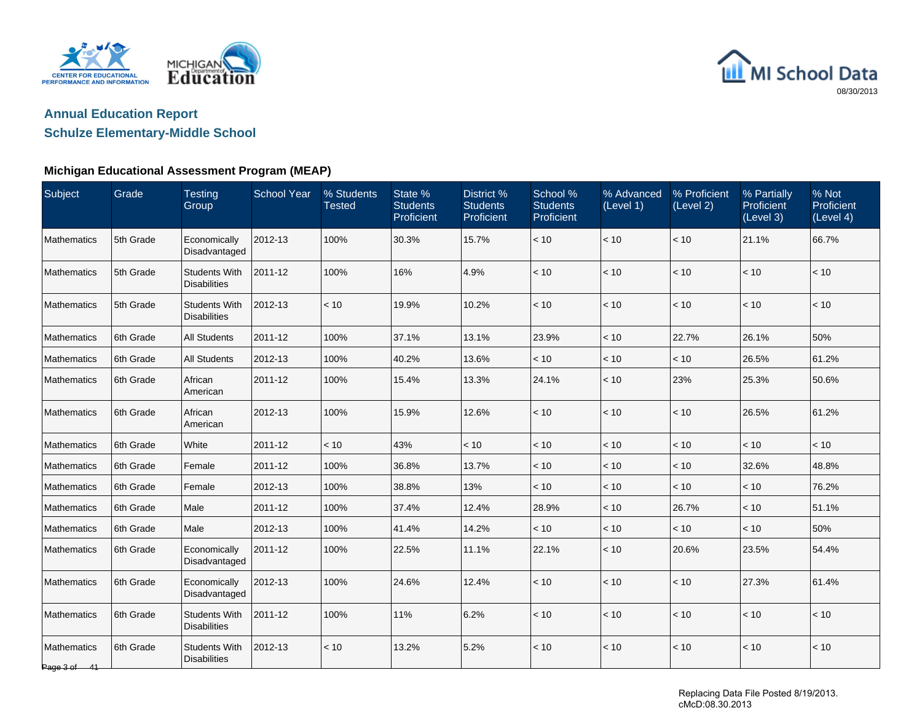



## **Schulze Elementary-Middle School**

### **Michigan Educational Assessment Program (MEAP)**

| Subject                            | Grade     | <b>Testing</b><br>Group                     | <b>School Year</b> | % Students<br><b>Tested</b> | State %<br><b>Students</b><br>Proficient | District <sub>%</sub><br><b>Students</b><br>Proficient | School %<br><b>Students</b><br>Proficient | % Advanced<br>(Level 1) | % Proficient<br>(Level 2) | % Partially<br>Proficient<br>(Level 3) | % Not<br>Proficient<br>(Level 4) |
|------------------------------------|-----------|---------------------------------------------|--------------------|-----------------------------|------------------------------------------|--------------------------------------------------------|-------------------------------------------|-------------------------|---------------------------|----------------------------------------|----------------------------------|
| <b>Mathematics</b>                 | 5th Grade | Economically<br>Disadvantaged               | 2012-13            | 100%                        | 30.3%                                    | 15.7%                                                  | $<10$                                     | < 10                    | < 10                      | 21.1%                                  | 66.7%                            |
| Mathematics                        | 5th Grade | Students With<br><b>Disabilities</b>        | 2011-12            | 100%                        | 16%                                      | 4.9%                                                   | < 10                                      | $<10$                   | < 10                      | < 10                                   | < 10                             |
| Mathematics                        | 5th Grade | <b>Students With</b><br>Disabilities        | 2012-13            | < 10                        | 19.9%                                    | 10.2%                                                  | < 10                                      | $<10$                   | < 10                      | < 10                                   | < 10                             |
| Mathematics                        | 6th Grade | <b>All Students</b>                         | 2011-12            | 100%                        | 37.1%                                    | 13.1%                                                  | 23.9%                                     | < 10                    | 22.7%                     | 26.1%                                  | 50%                              |
| <b>Mathematics</b>                 | 6th Grade | <b>All Students</b>                         | 2012-13            | 100%                        | 40.2%                                    | 13.6%                                                  | $<10$                                     | $<10$                   | $<10$                     | 26.5%                                  | 61.2%                            |
| <b>Mathematics</b>                 | 6th Grade | African<br>American                         | 2011-12            | 100%                        | 15.4%                                    | 13.3%                                                  | 24.1%                                     | < 10                    | 23%                       | 25.3%                                  | 50.6%                            |
| <b>Mathematics</b>                 | 6th Grade | African<br>American                         | 2012-13            | 100%                        | 15.9%                                    | 12.6%                                                  | < 10                                      | < 10                    | < 10                      | 26.5%                                  | 61.2%                            |
| <b>Mathematics</b>                 | 6th Grade | White                                       | 2011-12            | < 10                        | 43%                                      | < 10                                                   | < 10                                      | < 10                    | < 10                      | < 10                                   | < 10                             |
| Mathematics                        | 6th Grade | Female                                      | 2011-12            | 100%                        | 36.8%                                    | 13.7%                                                  | < 10                                      | < 10                    | < 10                      | 32.6%                                  | 48.8%                            |
| Mathematics                        | 6th Grade | Female                                      | 2012-13            | 100%                        | 38.8%                                    | 13%                                                    | < 10                                      | < 10                    | < 10                      | < 10                                   | 76.2%                            |
| Mathematics                        | 6th Grade | Male                                        | 2011-12            | 100%                        | 37.4%                                    | 12.4%                                                  | 28.9%                                     | < 10                    | 26.7%                     | < 10                                   | 51.1%                            |
| Mathematics                        | 6th Grade | Male                                        | 2012-13            | 100%                        | 41.4%                                    | 14.2%                                                  | < 10                                      | < 10                    | < 10                      | < 10                                   | 50%                              |
| Mathematics                        | 6th Grade | Economically<br>Disadvantaged               | 2011-12            | 100%                        | 22.5%                                    | 11.1%                                                  | 22.1%                                     | < 10                    | 20.6%                     | 23.5%                                  | 54.4%                            |
| Mathematics                        | 6th Grade | Economically<br>Disadvantaged               | 2012-13            | 100%                        | 24.6%                                    | 12.4%                                                  | < 10                                      | < 10                    | < 10                      | 27.3%                                  | 61.4%                            |
| Mathematics                        | 6th Grade | <b>Students With</b><br><b>Disabilities</b> | 2011-12            | 100%                        | 11%                                      | 6.2%                                                   | < 10                                      | < 10                    | < 10                      | < 10                                   | < 10                             |
| <b>Mathematics</b><br>Page 3 of 41 | 6th Grade | <b>Students With</b><br><b>Disabilities</b> | 2012-13            | < 10                        | 13.2%                                    | 5.2%                                                   | < 10                                      | < 10                    | < 10                      | < 10                                   | < 10                             |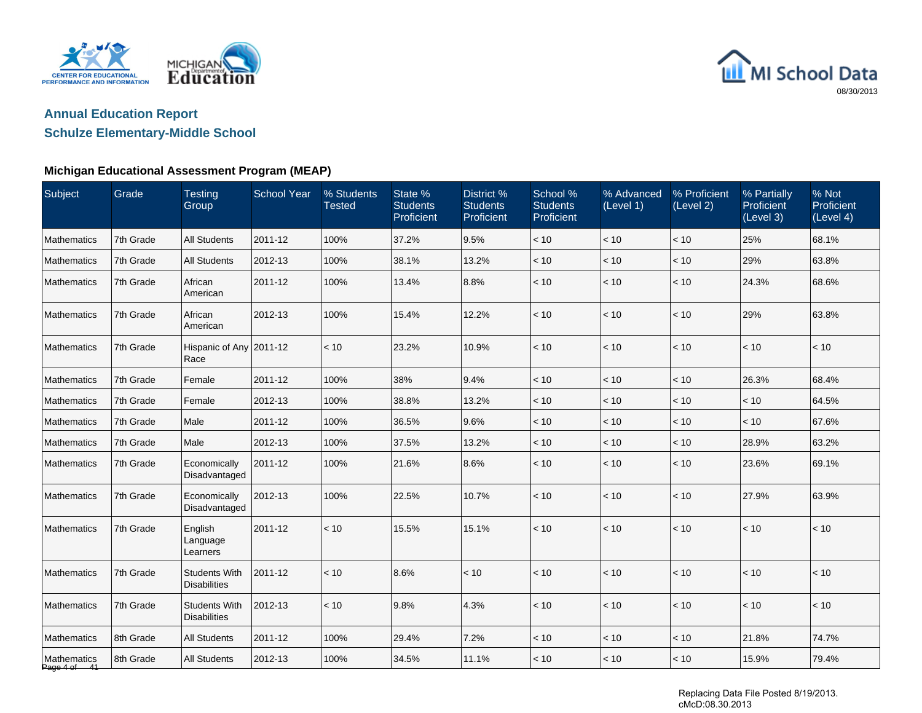



## **Schulze Elementary-Middle School**

### **Michigan Educational Assessment Program (MEAP)**

| Subject                     | Grade     | <b>Testing</b><br>Group                     | <b>School Year</b> | % Students<br><b>Tested</b> | State %<br><b>Students</b><br>Proficient | District <sub>%</sub><br><b>Students</b><br>Proficient | School %<br><b>Students</b><br>Proficient | % Advanced<br>(Level 1) | % Proficient<br>(Level 2) | % Partially<br>Proficient<br>(Level 3) | % Not<br>Proficient<br>(Level 4) |
|-----------------------------|-----------|---------------------------------------------|--------------------|-----------------------------|------------------------------------------|--------------------------------------------------------|-------------------------------------------|-------------------------|---------------------------|----------------------------------------|----------------------------------|
| <b>Mathematics</b>          | 7th Grade | <b>All Students</b>                         | 2011-12            | 100%                        | 37.2%                                    | 9.5%                                                   | $<10$                                     | < 10                    | < 10                      | 25%                                    | 68.1%                            |
| Mathematics                 | 7th Grade | <b>All Students</b>                         | 2012-13            | 100%                        | 38.1%                                    | 13.2%                                                  | < 10                                      | < 10                    | < 10                      | 29%                                    | 63.8%                            |
| Mathematics                 | 7th Grade | African<br>American                         | 2011-12            | 100%                        | 13.4%                                    | 8.8%                                                   | < 10                                      | < 10                    | < 10                      | 24.3%                                  | 68.6%                            |
| Mathematics                 | 7th Grade | African<br>American                         | 2012-13            | 100%                        | 15.4%                                    | 12.2%                                                  | < 10                                      | < 10                    | < 10                      | 29%                                    | 63.8%                            |
| Mathematics                 | 7th Grade | Hispanic of Any 2011-12<br>Race             |                    | < 10                        | 23.2%                                    | 10.9%                                                  | < 10                                      | < 10                    | < 10                      | < 10                                   | < 10                             |
| Mathematics                 | 7th Grade | Female                                      | 2011-12            | 100%                        | 38%                                      | 9.4%                                                   | < 10                                      | < 10                    | < 10                      | 26.3%                                  | 68.4%                            |
| Mathematics                 | 7th Grade | Female                                      | 2012-13            | 100%                        | 38.8%                                    | 13.2%                                                  | < 10                                      | < 10                    | < 10                      | < 10                                   | 64.5%                            |
| <b>Mathematics</b>          | 7th Grade | Male                                        | 2011-12            | 100%                        | 36.5%                                    | 9.6%                                                   | < 10                                      | < 10                    | < 10                      | < 10                                   | 67.6%                            |
| Mathematics                 | 7th Grade | Male                                        | 2012-13            | 100%                        | 37.5%                                    | 13.2%                                                  | < 10                                      | < 10                    | < 10                      | 28.9%                                  | 63.2%                            |
| Mathematics                 | 7th Grade | Economically<br>Disadvantaged               | 2011-12            | 100%                        | 21.6%                                    | 8.6%                                                   | < 10                                      | < 10                    | $<10$                     | 23.6%                                  | 69.1%                            |
| Mathematics                 | 7th Grade | Economically<br>Disadvantaged               | 2012-13            | 100%                        | 22.5%                                    | 10.7%                                                  | < 10                                      | < 10                    | < 10                      | 27.9%                                  | 63.9%                            |
| Mathematics                 | 7th Grade | English<br>Language<br>Learners             | 2011-12            | < 10                        | 15.5%                                    | 15.1%                                                  | < 10                                      | < 10                    | < 10                      | < 10                                   | < 10                             |
| Mathematics                 | 7th Grade | <b>Students With</b><br><b>Disabilities</b> | 2011-12            | < 10                        | 8.6%                                     | < 10                                                   | < 10                                      | < 10                    | < 10                      | < 10                                   | < 10                             |
| <b>Mathematics</b>          | 7th Grade | <b>Students With</b><br><b>Disabilities</b> | 2012-13            | < 10                        | 9.8%                                     | 4.3%                                                   | < 10                                      | < 10                    | < 10                      | < 10                                   | < 10                             |
| Mathematics                 | 8th Grade | <b>All Students</b>                         | 2011-12            | 100%                        | 29.4%                                    | 7.2%                                                   | < 10                                      | < 10                    | < 10                      | 21.8%                                  | 74.7%                            |
| Mathematics<br>Page 4 of 41 | 8th Grade | <b>All Students</b>                         | 2012-13            | 100%                        | 34.5%                                    | 11.1%                                                  | < 10                                      | < 10                    | < 10                      | 15.9%                                  | 79.4%                            |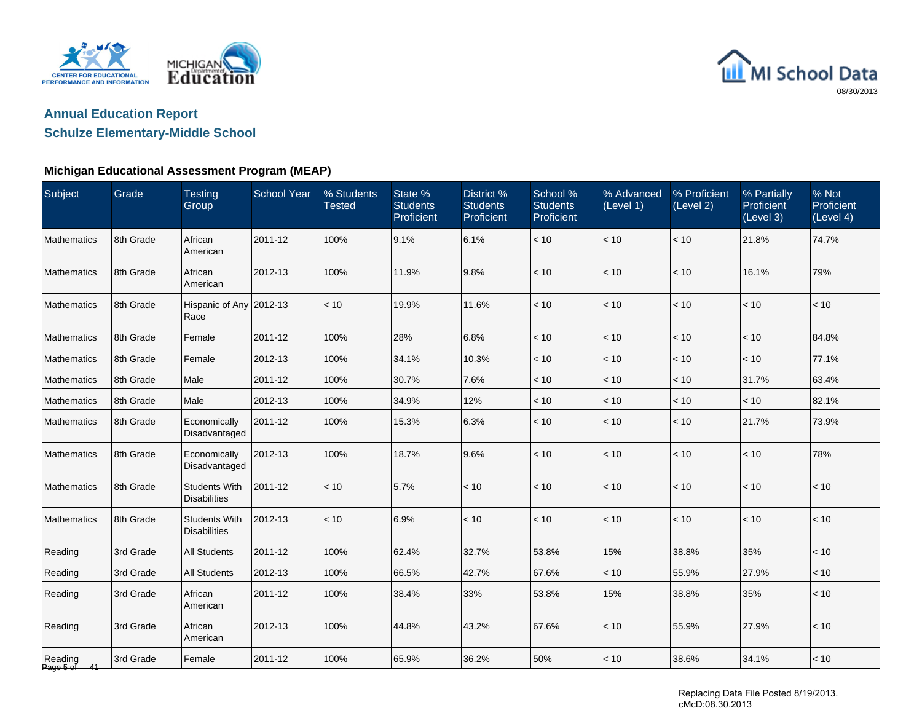



## **Schulze Elementary-Middle School**

### **Michigan Educational Assessment Program (MEAP)**

| Subject              | Grade     | <b>Testing</b><br>Group                     | <b>School Year</b> | % Students<br><b>Tested</b> | State %<br><b>Students</b><br>Proficient | District %<br><b>Students</b><br>Proficient | School %<br><b>Students</b><br>Proficient | % Advanced<br>(Level 1) | % Proficient<br>(Level 2) | % Partially<br>Proficient<br>(Level 3) | % Not<br>Proficient<br>(Level 4) |
|----------------------|-----------|---------------------------------------------|--------------------|-----------------------------|------------------------------------------|---------------------------------------------|-------------------------------------------|-------------------------|---------------------------|----------------------------------------|----------------------------------|
| <b>Mathematics</b>   | 8th Grade | African<br>American                         | 2011-12            | 100%                        | 9.1%                                     | 6.1%                                        | $<10$                                     | < 10                    | $<10$                     | 21.8%                                  | 74.7%                            |
| Mathematics          | 8th Grade | African<br>American                         | 2012-13            | 100%                        | 11.9%                                    | 9.8%                                        | < 10                                      | < 10                    | < 10                      | 16.1%                                  | 79%                              |
| Mathematics          | 8th Grade | Hispanic of Any 2012-13<br>Race             |                    | < 10                        | 19.9%                                    | 11.6%                                       | < 10                                      | < 10                    | < 10                      | < 10                                   | < 10                             |
| Mathematics          | 8th Grade | Female                                      | 2011-12            | 100%                        | 28%                                      | 6.8%                                        | < 10                                      | < 10                    | < 10                      | < 10                                   | 84.8%                            |
| Mathematics          | 8th Grade | Female                                      | 2012-13            | 100%                        | 34.1%                                    | 10.3%                                       | $<10$                                     | < 10                    | $<10$                     | < 10                                   | 77.1%                            |
| Mathematics          | 8th Grade | Male                                        | 2011-12            | 100%                        | 30.7%                                    | 7.6%                                        | < 10                                      | < 10                    | $<10$                     | 31.7%                                  | 63.4%                            |
| Mathematics          | 8th Grade | Male                                        | 2012-13            | 100%                        | 34.9%                                    | 12%                                         | < 10                                      | < 10                    | < 10                      | < 10                                   | 82.1%                            |
| Mathematics          | 8th Grade | Economically<br>Disadvantaged               | 2011-12            | 100%                        | 15.3%                                    | 6.3%                                        | < 10                                      | < 10                    | < 10                      | 21.7%                                  | 73.9%                            |
| Mathematics          | 8th Grade | Economically<br>Disadvantaged               | 2012-13            | 100%                        | 18.7%                                    | 9.6%                                        | < 10                                      | < 10                    | < 10                      | < 10                                   | 78%                              |
| Mathematics          | 8th Grade | <b>Students With</b><br><b>Disabilities</b> | 2011-12            | < 10                        | 5.7%                                     | < 10                                        | $<10$                                     | < 10                    | < 10                      | < 10                                   | < 10                             |
| Mathematics          | 8th Grade | <b>Students With</b><br><b>Disabilities</b> | 2012-13            | < 10                        | 6.9%                                     | < 10                                        | < 10                                      | < 10                    | $<10$                     | < 10                                   | < 10                             |
| Reading              | 3rd Grade | <b>All Students</b>                         | 2011-12            | 100%                        | 62.4%                                    | 32.7%                                       | 53.8%                                     | 15%                     | 38.8%                     | 35%                                    | < 10                             |
| Reading              | 3rd Grade | <b>All Students</b>                         | 2012-13            | 100%                        | 66.5%                                    | 42.7%                                       | 67.6%                                     | < 10                    | 55.9%                     | 27.9%                                  | < 10                             |
| Reading              | 3rd Grade | African<br>American                         | 2011-12            | 100%                        | 38.4%                                    | 33%                                         | 53.8%                                     | 15%                     | 38.8%                     | 35%                                    | < 10                             |
| Reading              | 3rd Grade | African<br>American                         | 2012-13            | 100%                        | 44.8%                                    | 43.2%                                       | 67.6%                                     | < 10                    | 55.9%                     | 27.9%                                  | < 10                             |
| Reading<br>Page 5 of | 3rd Grade | Female                                      | 2011-12            | 100%                        | 65.9%                                    | 36.2%                                       | 50%                                       | < 10                    | 38.6%                     | 34.1%                                  | $<10$                            |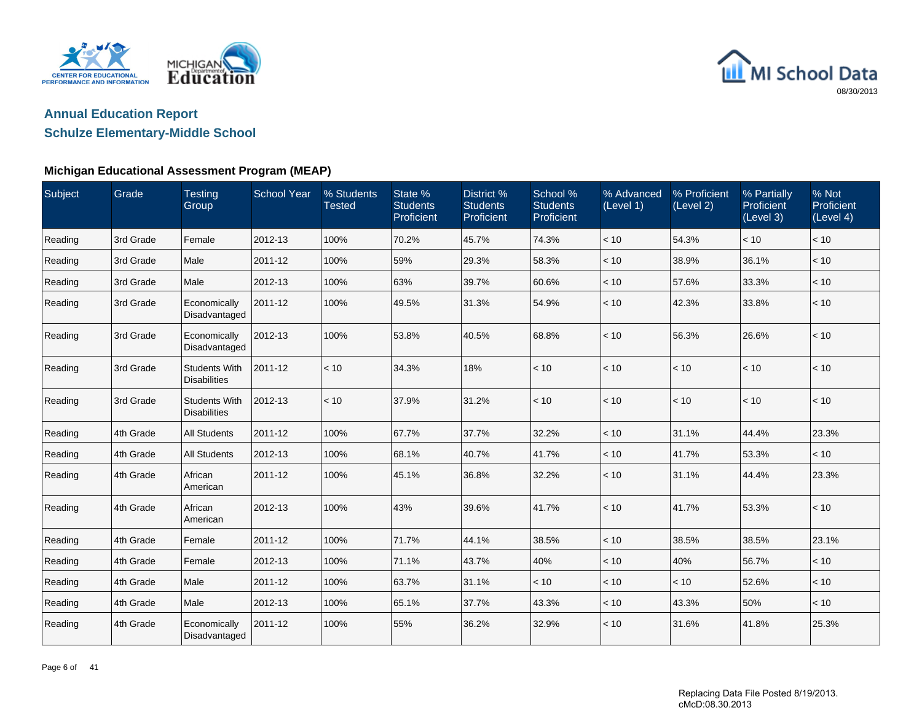



## **Schulze Elementary-Middle School**

| Subject | Grade     | <b>Testing</b><br>Group                     | <b>School Year</b> | % Students<br><b>Tested</b> | State %<br><b>Students</b><br>Proficient | District %<br><b>Students</b><br>Proficient | School %<br><b>Students</b><br>Proficient | % Advanced<br>(Level 1) | % Proficient<br>(Level 2) | % Partially<br>Proficient<br>(Level 3) | % Not<br>Proficient<br>(Level 4) |
|---------|-----------|---------------------------------------------|--------------------|-----------------------------|------------------------------------------|---------------------------------------------|-------------------------------------------|-------------------------|---------------------------|----------------------------------------|----------------------------------|
| Reading | 3rd Grade | Female                                      | 2012-13            | 100%                        | 70.2%                                    | 45.7%                                       | 74.3%                                     | < 10                    | 54.3%                     | < 10                                   | < 10                             |
| Reading | 3rd Grade | Male                                        | 2011-12            | 100%                        | 59%                                      | 29.3%                                       | 58.3%                                     | < 10                    | 38.9%                     | 36.1%                                  | < 10                             |
| Reading | 3rd Grade | Male                                        | 2012-13            | 100%                        | 63%                                      | 39.7%                                       | 60.6%                                     | < 10                    | 57.6%                     | 33.3%                                  | < 10                             |
| Reading | 3rd Grade | Economically<br>Disadvantaged               | 2011-12            | 100%                        | 49.5%                                    | 31.3%                                       | 54.9%                                     | < 10                    | 42.3%                     | 33.8%                                  | < 10                             |
| Reading | 3rd Grade | Economically<br>Disadvantaged               | 2012-13            | 100%                        | 53.8%                                    | 40.5%                                       | 68.8%                                     | < 10                    | 56.3%                     | 26.6%                                  | < 10                             |
| Reading | 3rd Grade | <b>Students With</b><br><b>Disabilities</b> | 2011-12            | < 10                        | 34.3%                                    | 18%                                         | < 10                                      | < 10                    | < 10                      | < 10                                   | < 10                             |
| Reading | 3rd Grade | <b>Students With</b><br><b>Disabilities</b> | 2012-13            | < 10                        | 37.9%                                    | 31.2%                                       | < 10                                      | < 10                    | < 10                      | < 10                                   | < 10                             |
| Reading | 4th Grade | <b>All Students</b>                         | 2011-12            | 100%                        | 67.7%                                    | 37.7%                                       | 32.2%                                     | < 10                    | 31.1%                     | 44.4%                                  | 23.3%                            |
| Reading | 4th Grade | <b>All Students</b>                         | 2012-13            | 100%                        | 68.1%                                    | 40.7%                                       | 41.7%                                     | < 10                    | 41.7%                     | 53.3%                                  | < 10                             |
| Reading | 4th Grade | African<br>American                         | 2011-12            | 100%                        | 45.1%                                    | 36.8%                                       | 32.2%                                     | < 10                    | 31.1%                     | 44.4%                                  | 23.3%                            |
| Reading | 4th Grade | African<br>American                         | 2012-13            | 100%                        | 43%                                      | 39.6%                                       | 41.7%                                     | $<10$                   | 41.7%                     | 53.3%                                  | < 10                             |
| Reading | 4th Grade | Female                                      | 2011-12            | 100%                        | 71.7%                                    | 44.1%                                       | 38.5%                                     | < 10                    | 38.5%                     | 38.5%                                  | 23.1%                            |
| Reading | 4th Grade | Female                                      | 2012-13            | 100%                        | 71.1%                                    | 43.7%                                       | 40%                                       | < 10                    | 40%                       | 56.7%                                  | < 10                             |
| Reading | 4th Grade | Male                                        | 2011-12            | 100%                        | 63.7%                                    | 31.1%                                       | < 10                                      | < 10                    | < 10                      | 52.6%                                  | < 10                             |
| Reading | 4th Grade | Male                                        | 2012-13            | 100%                        | 65.1%                                    | 37.7%                                       | 43.3%                                     | < 10                    | 43.3%                     | 50%                                    | < 10                             |
| Reading | 4th Grade | Economically<br>Disadvantaged               | 2011-12            | 100%                        | 55%                                      | 36.2%                                       | 32.9%                                     | < 10                    | 31.6%                     | 41.8%                                  | 25.3%                            |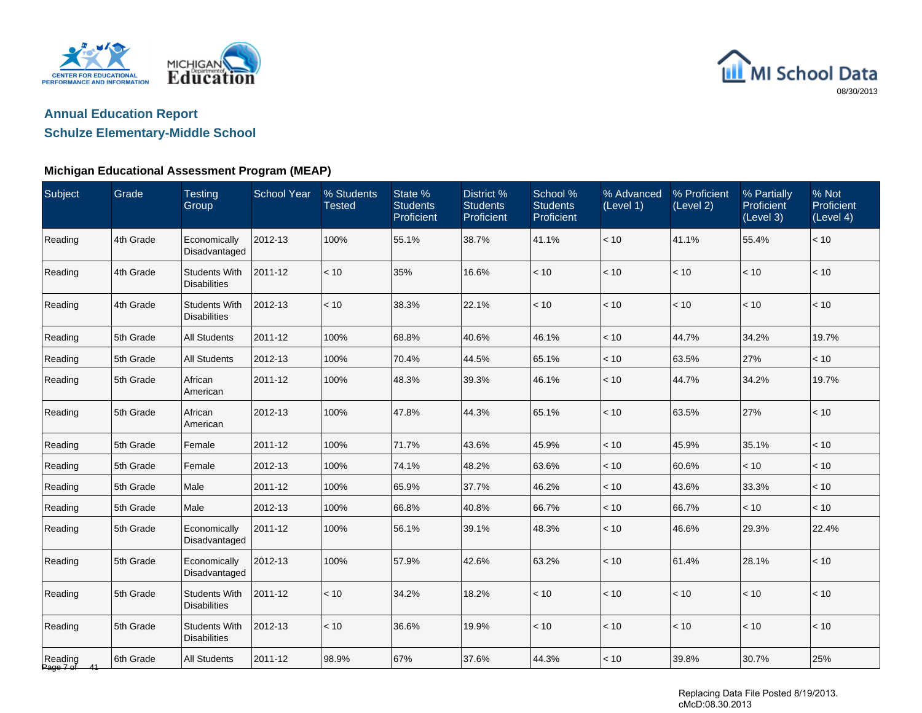



## **Schulze Elementary-Middle School**

### **Michigan Educational Assessment Program (MEAP)**

| Subject              | Grade     | <b>Testing</b><br>Group                     | <b>School Year</b> | % Students<br><b>Tested</b> | State %<br><b>Students</b><br>Proficient | District %<br><b>Students</b><br>Proficient | School %<br><b>Students</b><br>Proficient | % Advanced<br>(Level 1) | % Proficient<br>(Level 2) | % Partially<br>Proficient<br>(Level 3) | % Not<br>Proficient<br>(Level 4) |
|----------------------|-----------|---------------------------------------------|--------------------|-----------------------------|------------------------------------------|---------------------------------------------|-------------------------------------------|-------------------------|---------------------------|----------------------------------------|----------------------------------|
| Reading              | 4th Grade | Economically<br>Disadvantaged               | 2012-13            | 100%                        | 55.1%                                    | 38.7%                                       | 41.1%                                     | < 10                    | 41.1%                     | 55.4%                                  | < 10                             |
| Reading              | 4th Grade | <b>Students With</b><br><b>Disabilities</b> | 2011-12            | < 10                        | 35%                                      | 16.6%                                       | < 10                                      | < 10                    | < 10                      | < 10                                   | < 10                             |
| Reading              | 4th Grade | <b>Students With</b><br><b>Disabilities</b> | 2012-13            | < 10                        | 38.3%                                    | 22.1%                                       | < 10                                      | < 10                    | < 10                      | < 10                                   | < 10                             |
| Reading              | 5th Grade | <b>All Students</b>                         | 2011-12            | 100%                        | 68.8%                                    | 40.6%                                       | 46.1%                                     | < 10                    | 44.7%                     | 34.2%                                  | 19.7%                            |
| Reading              | 5th Grade | <b>All Students</b>                         | 2012-13            | 100%                        | 70.4%                                    | 44.5%                                       | 65.1%                                     | < 10                    | 63.5%                     | 27%                                    | < 10                             |
| Reading              | 5th Grade | African<br>American                         | 2011-12            | 100%                        | 48.3%                                    | 39.3%                                       | 46.1%                                     | < 10                    | 44.7%                     | 34.2%                                  | 19.7%                            |
| Reading              | 5th Grade | African<br>American                         | 2012-13            | 100%                        | 47.8%                                    | 44.3%                                       | 65.1%                                     | < 10                    | 63.5%                     | 27%                                    | < 10                             |
| Reading              | 5th Grade | Female                                      | 2011-12            | 100%                        | 71.7%                                    | 43.6%                                       | 45.9%                                     | < 10                    | 45.9%                     | 35.1%                                  | < 10                             |
| Reading              | 5th Grade | Female                                      | 2012-13            | 100%                        | 74.1%                                    | 48.2%                                       | 63.6%                                     | < 10                    | 60.6%                     | < 10                                   | < 10                             |
| Reading              | 5th Grade | Male                                        | 2011-12            | 100%                        | 65.9%                                    | 37.7%                                       | 46.2%                                     | < 10                    | 43.6%                     | 33.3%                                  | < 10                             |
| Reading              | 5th Grade | Male                                        | 2012-13            | 100%                        | 66.8%                                    | 40.8%                                       | 66.7%                                     | < 10                    | 66.7%                     | < 10                                   | < 10                             |
| Reading              | 5th Grade | Economically<br>Disadvantaged               | 2011-12            | 100%                        | 56.1%                                    | 39.1%                                       | 48.3%                                     | < 10                    | 46.6%                     | 29.3%                                  | 22.4%                            |
| Reading              | 5th Grade | Economically<br>Disadvantaged               | 2012-13            | 100%                        | 57.9%                                    | 42.6%                                       | 63.2%                                     | < 10                    | 61.4%                     | 28.1%                                  | < 10                             |
| Reading              | 5th Grade | <b>Students With</b><br><b>Disabilities</b> | 2011-12            | < 10                        | 34.2%                                    | 18.2%                                       | < 10                                      | < 10                    | $<10$                     | < 10                                   | < 10                             |
| Reading              | 5th Grade | <b>Students With</b><br><b>Disabilities</b> | 2012-13            | < 10                        | 36.6%                                    | 19.9%                                       | < 10                                      | < 10                    | $<10$                     | $<10$                                  | < 10                             |
| Reading<br>Page 7 of | 6th Grade | All Students                                | 2011-12            | 98.9%                       | 67%                                      | 37.6%                                       | 44.3%                                     | < 10                    | 39.8%                     | 30.7%                                  | 25%                              |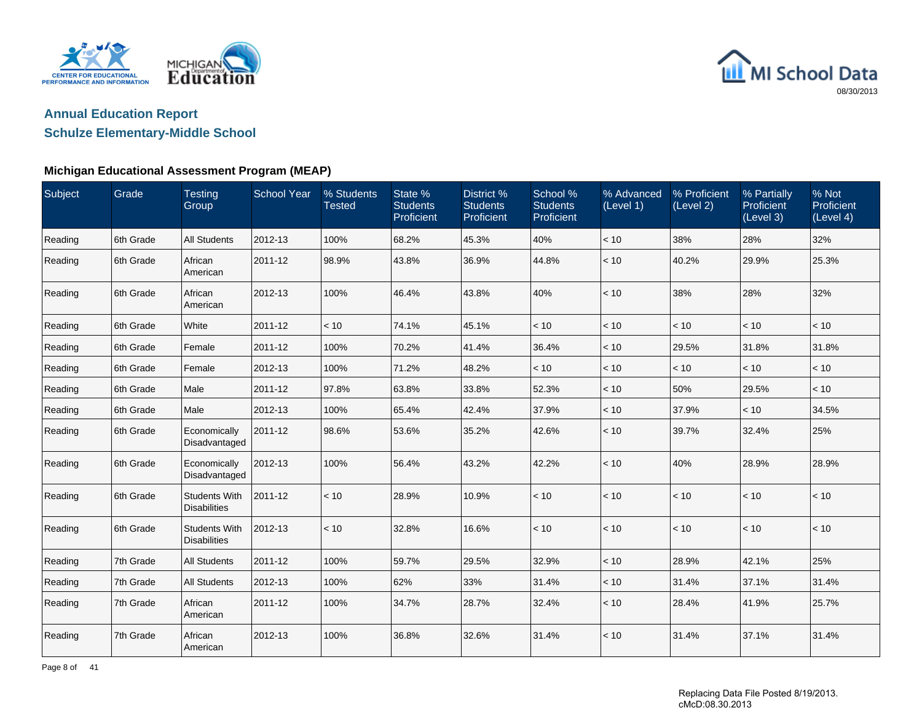



## **Schulze Elementary-Middle School**

### **Michigan Educational Assessment Program (MEAP)**

| Subject | Grade     | <b>Testing</b><br>Group                     | <b>School Year</b> | % Students<br><b>Tested</b> | State %<br><b>Students</b><br>Proficient | District %<br><b>Students</b><br>Proficient | School %<br><b>Students</b><br>Proficient | % Advanced<br>(Level 1) | % Proficient<br>(Level 2) | % Partially<br>Proficient<br>(Level 3) | % Not<br>Proficient<br>(Level 4) |
|---------|-----------|---------------------------------------------|--------------------|-----------------------------|------------------------------------------|---------------------------------------------|-------------------------------------------|-------------------------|---------------------------|----------------------------------------|----------------------------------|
| Reading | 6th Grade | <b>All Students</b>                         | 2012-13            | 100%                        | 68.2%                                    | 45.3%                                       | 40%                                       | $<10$                   | 38%                       | 28%                                    | 32%                              |
| Reading | 6th Grade | African<br>American                         | 2011-12            | 98.9%                       | 43.8%                                    | 36.9%                                       | 44.8%                                     | < 10                    | 40.2%                     | 29.9%                                  | 25.3%                            |
| Reading | 6th Grade | African<br>American                         | 2012-13            | 100%                        | 46.4%                                    | 43.8%                                       | 40%                                       | < 10                    | 38%                       | 28%                                    | 32%                              |
| Reading | 6th Grade | White                                       | 2011-12            | < 10                        | 74.1%                                    | 45.1%                                       | < 10                                      | < 10                    | < 10                      | < 10                                   | < 10                             |
| Reading | 6th Grade | Female                                      | 2011-12            | 100%                        | 70.2%                                    | 41.4%                                       | 36.4%                                     | $<10$                   | 29.5%                     | 31.8%                                  | 31.8%                            |
| Reading | 6th Grade | Female                                      | 2012-13            | 100%                        | 71.2%                                    | 48.2%                                       | < 10                                      | < 10                    | < 10                      | < 10                                   | < 10                             |
| Reading | 6th Grade | Male                                        | 2011-12            | 97.8%                       | 63.8%                                    | 33.8%                                       | 52.3%                                     | < 10                    | 50%                       | 29.5%                                  | < 10                             |
| Reading | 6th Grade | Male                                        | 2012-13            | 100%                        | 65.4%                                    | 42.4%                                       | 37.9%                                     | $<10$                   | 37.9%                     | < 10                                   | 34.5%                            |
| Reading | 6th Grade | Economically<br>Disadvantaged               | 2011-12            | 98.6%                       | 53.6%                                    | 35.2%                                       | 42.6%                                     | < 10                    | 39.7%                     | 32.4%                                  | 25%                              |
| Reading | 6th Grade | Economically<br>Disadvantaged               | 2012-13            | 100%                        | 56.4%                                    | 43.2%                                       | 42.2%                                     | < 10                    | 40%                       | 28.9%                                  | 28.9%                            |
| Reading | 6th Grade | <b>Students With</b><br><b>Disabilities</b> | 2011-12            | < 10                        | 28.9%                                    | 10.9%                                       | < 10                                      | < 10                    | < 10                      | < 10                                   | $<10$                            |
| Reading | 6th Grade | <b>Students With</b><br><b>Disabilities</b> | 2012-13            | < 10                        | 32.8%                                    | 16.6%                                       | < 10                                      | < 10                    | < 10                      | < 10                                   | < 10                             |
| Reading | 7th Grade | <b>All Students</b>                         | 2011-12            | 100%                        | 59.7%                                    | 29.5%                                       | 32.9%                                     | < 10                    | 28.9%                     | 42.1%                                  | 25%                              |
| Reading | 7th Grade | <b>All Students</b>                         | 2012-13            | 100%                        | 62%                                      | 33%                                         | 31.4%                                     | < 10                    | 31.4%                     | 37.1%                                  | 31.4%                            |
| Reading | 7th Grade | African<br>American                         | 2011-12            | 100%                        | 34.7%                                    | 28.7%                                       | 32.4%                                     | < 10                    | 28.4%                     | 41.9%                                  | 25.7%                            |
| Reading | 7th Grade | African<br>American                         | 2012-13            | 100%                        | 36.8%                                    | 32.6%                                       | 31.4%                                     | < 10                    | 31.4%                     | 37.1%                                  | 31.4%                            |

Page 8 of 41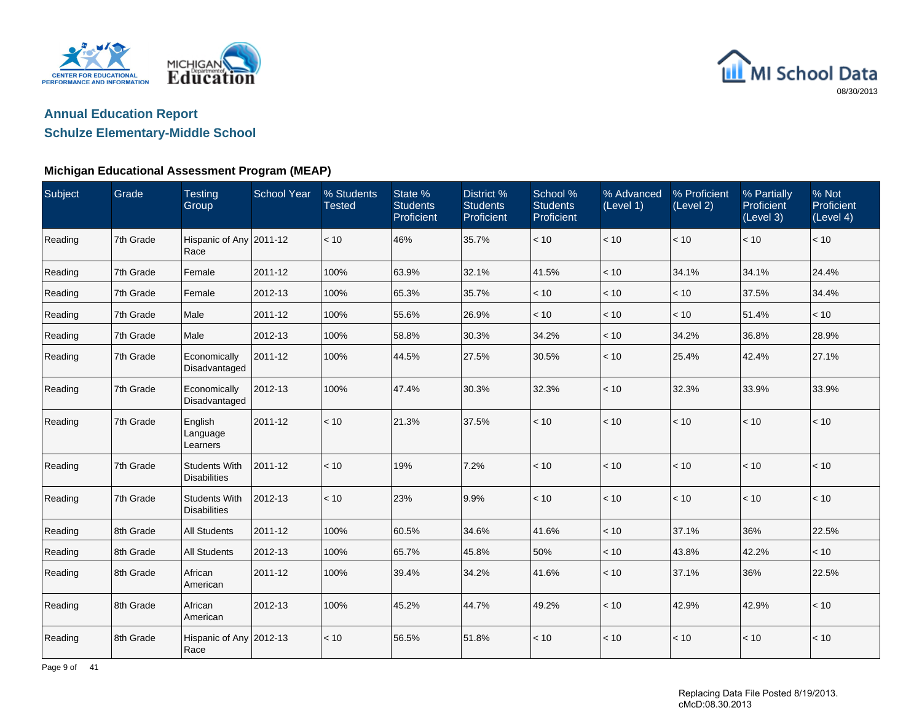



## **Schulze Elementary-Middle School**

| Subject | Grade     | <b>Testing</b><br>Group                     | <b>School Year</b> | % Students<br><b>Tested</b> | State %<br><b>Students</b><br>Proficient | District %<br><b>Students</b><br>Proficient | School %<br><b>Students</b><br>Proficient | % Advanced<br>(Level 1) | % Proficient<br>(Level 2) | % Partially<br>Proficient<br>(Level 3) | % Not<br>Proficient<br>(Level 4) |
|---------|-----------|---------------------------------------------|--------------------|-----------------------------|------------------------------------------|---------------------------------------------|-------------------------------------------|-------------------------|---------------------------|----------------------------------------|----------------------------------|
| Reading | 7th Grade | Hispanic of Any 2011-12<br>Race             |                    | < 10                        | 46%                                      | 35.7%                                       | $<10$                                     | < 10                    | $<10$                     | < 10                                   | < 10                             |
| Reading | 7th Grade | Female                                      | 2011-12            | 100%                        | 63.9%                                    | 32.1%                                       | 41.5%                                     | < 10                    | 34.1%                     | 34.1%                                  | 24.4%                            |
| Reading | 7th Grade | Female                                      | 2012-13            | 100%                        | 65.3%                                    | 35.7%                                       | < 10                                      | < 10                    | < 10                      | 37.5%                                  | 34.4%                            |
| Reading | 7th Grade | Male                                        | 2011-12            | 100%                        | 55.6%                                    | 26.9%                                       | $<10$                                     | $<10$                   | < 10                      | 51.4%                                  | $<10$                            |
| Reading | 7th Grade | Male                                        | 2012-13            | 100%                        | 58.8%                                    | 30.3%                                       | 34.2%                                     | < 10                    | 34.2%                     | 36.8%                                  | 28.9%                            |
| Reading | 7th Grade | Economically<br>Disadvantaged               | 2011-12            | 100%                        | 44.5%                                    | 27.5%                                       | 30.5%                                     | < 10                    | 25.4%                     | 42.4%                                  | 27.1%                            |
| Reading | 7th Grade | Economically<br>Disadvantaged               | 2012-13            | 100%                        | 47.4%                                    | 30.3%                                       | 32.3%                                     | < 10                    | 32.3%                     | 33.9%                                  | 33.9%                            |
| Reading | 7th Grade | English<br>Language<br>Learners             | 2011-12            | < 10                        | 21.3%                                    | 37.5%                                       | < 10                                      | < 10                    | $<10$                     | < 10                                   | < 10                             |
| Reading | 7th Grade | <b>Students With</b><br><b>Disabilities</b> | 2011-12            | < 10                        | 19%                                      | 7.2%                                        | < 10                                      | < 10                    | < 10                      | < 10                                   | < 10                             |
| Reading | 7th Grade | <b>Students With</b><br><b>Disabilities</b> | 2012-13            | $<10$                       | 23%                                      | 9.9%                                        | < 10                                      | < 10                    | < 10                      | < 10                                   | < 10                             |
| Reading | 8th Grade | <b>All Students</b>                         | 2011-12            | 100%                        | 60.5%                                    | 34.6%                                       | 41.6%                                     | < 10                    | 37.1%                     | 36%                                    | 22.5%                            |
| Reading | 8th Grade | <b>All Students</b>                         | 2012-13            | 100%                        | 65.7%                                    | 45.8%                                       | 50%                                       | < 10                    | 43.8%                     | 42.2%                                  | < 10                             |
| Reading | 8th Grade | African<br>American                         | 2011-12            | 100%                        | 39.4%                                    | 34.2%                                       | 41.6%                                     | < 10                    | 37.1%                     | 36%                                    | 22.5%                            |
| Reading | 8th Grade | African<br>American                         | 2012-13            | 100%                        | 45.2%                                    | 44.7%                                       | 49.2%                                     | < 10                    | 42.9%                     | 42.9%                                  | $<10$                            |
| Reading | 8th Grade | Hispanic of Any 2012-13<br>Race             |                    | < 10                        | 56.5%                                    | 51.8%                                       | < 10                                      | < 10                    | < 10                      | < 10                                   | $<10$                            |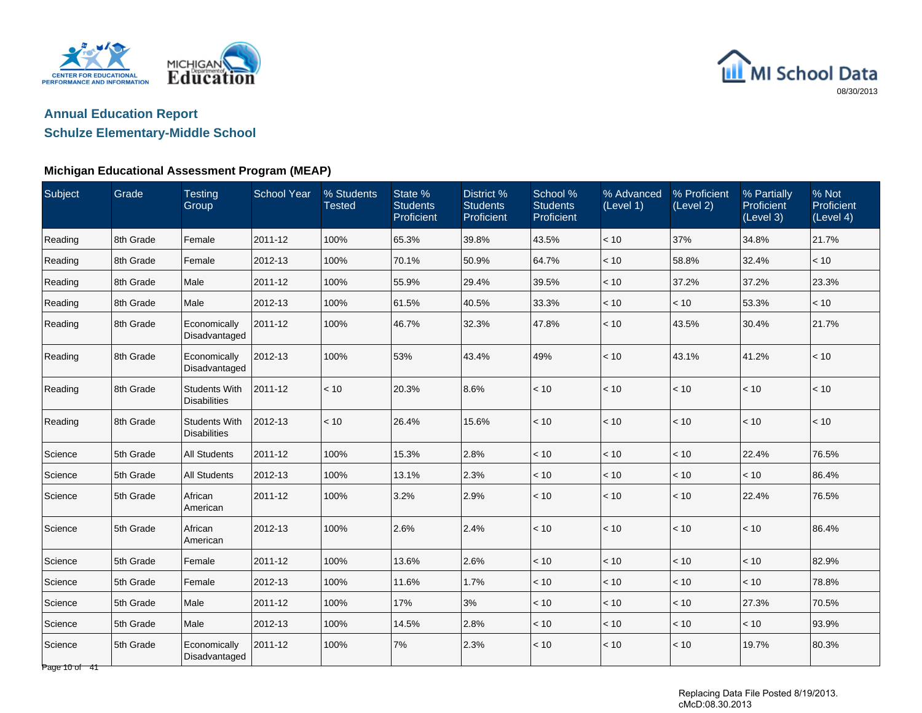



## **Schulze Elementary-Middle School**

| Subject                  | Grade     | <b>Testing</b><br>Group                     | <b>School Year</b> | % Students<br>Tested | State %<br><b>Students</b><br>Proficient | District %<br><b>Students</b><br>Proficient | School %<br><b>Students</b><br>Proficient | % Advanced<br>(Level 1) | % Proficient<br>(Level 2) | % Partially<br>Proficient<br>(Level 3) | % Not<br>Proficient<br>(Level 4) |
|--------------------------|-----------|---------------------------------------------|--------------------|----------------------|------------------------------------------|---------------------------------------------|-------------------------------------------|-------------------------|---------------------------|----------------------------------------|----------------------------------|
| Reading                  | 8th Grade | Female                                      | 2011-12            | 100%                 | 65.3%                                    | 39.8%                                       | 43.5%                                     | < 10                    | 37%                       | 34.8%                                  | 21.7%                            |
| Reading                  | 8th Grade | Female                                      | 2012-13            | 100%                 | 70.1%                                    | 50.9%                                       | 64.7%                                     | < 10                    | 58.8%                     | 32.4%                                  | $<10$                            |
| Reading                  | 8th Grade | Male                                        | 2011-12            | 100%                 | 55.9%                                    | 29.4%                                       | 39.5%                                     | < 10                    | 37.2%                     | 37.2%                                  | 23.3%                            |
| Reading                  | 8th Grade | Male                                        | 2012-13            | 100%                 | 61.5%                                    | 40.5%                                       | 33.3%                                     | < 10                    | < 10                      | 53.3%                                  | < 10                             |
| Reading                  | 8th Grade | Economically<br>Disadvantaged               | 2011-12            | 100%                 | 46.7%                                    | 32.3%                                       | 47.8%                                     | $<10$                   | 43.5%                     | 30.4%                                  | 21.7%                            |
| Reading                  | 8th Grade | Economically<br>Disadvantaged               | 2012-13            | 100%                 | 53%                                      | 43.4%                                       | 49%                                       | < 10                    | 43.1%                     | 41.2%                                  | < 10                             |
| Reading                  | 8th Grade | <b>Students With</b><br><b>Disabilities</b> | 2011-12            | < 10                 | 20.3%                                    | 8.6%                                        | < 10                                      | < 10                    | < 10                      | < 10                                   | < 10                             |
| Reading                  | 8th Grade | <b>Students With</b><br><b>Disabilities</b> | 2012-13            | < 10                 | 26.4%                                    | 15.6%                                       | < 10                                      | < 10                    | < 10                      | < 10                                   | < 10                             |
| Science                  | 5th Grade | <b>All Students</b>                         | 2011-12            | 100%                 | 15.3%                                    | 2.8%                                        | < 10                                      | < 10                    | < 10                      | 22.4%                                  | 76.5%                            |
| Science                  | 5th Grade | <b>All Students</b>                         | 2012-13            | 100%                 | 13.1%                                    | 2.3%                                        | < 10                                      | < 10                    | < 10                      | < 10                                   | 86.4%                            |
| Science                  | 5th Grade | African<br>American                         | 2011-12            | 100%                 | 3.2%                                     | 2.9%                                        | < 10                                      | < 10                    | < 10                      | 22.4%                                  | 76.5%                            |
| Science                  | 5th Grade | African<br>American                         | 2012-13            | 100%                 | 2.6%                                     | 2.4%                                        | < 10                                      | < 10                    | < 10                      | < 10                                   | 86.4%                            |
| Science                  | 5th Grade | Female                                      | 2011-12            | 100%                 | 13.6%                                    | 2.6%                                        | < 10                                      | < 10                    | < 10                      | < 10                                   | 82.9%                            |
| Science                  | 5th Grade | Female                                      | 2012-13            | 100%                 | 11.6%                                    | 1.7%                                        | $<10$                                     | $<10$                   | $<10$                     | $<10$                                  | 78.8%                            |
| Science                  | 5th Grade | Male                                        | 2011-12            | 100%                 | 17%                                      | 3%                                          | < 10                                      | < 10                    | < 10                      | 27.3%                                  | 70.5%                            |
| Science                  | 5th Grade | Male                                        | 2012-13            | 100%                 | 14.5%                                    | 2.8%                                        | < 10                                      | < 10                    | < 10                      | < 10                                   | 93.9%                            |
| Science<br>Page 10 of 41 | 5th Grade | Economically<br>Disadvantaged               | 2011-12            | 100%                 | 7%                                       | 2.3%                                        | < 10                                      | < 10                    | < 10                      | 19.7%                                  | 80.3%                            |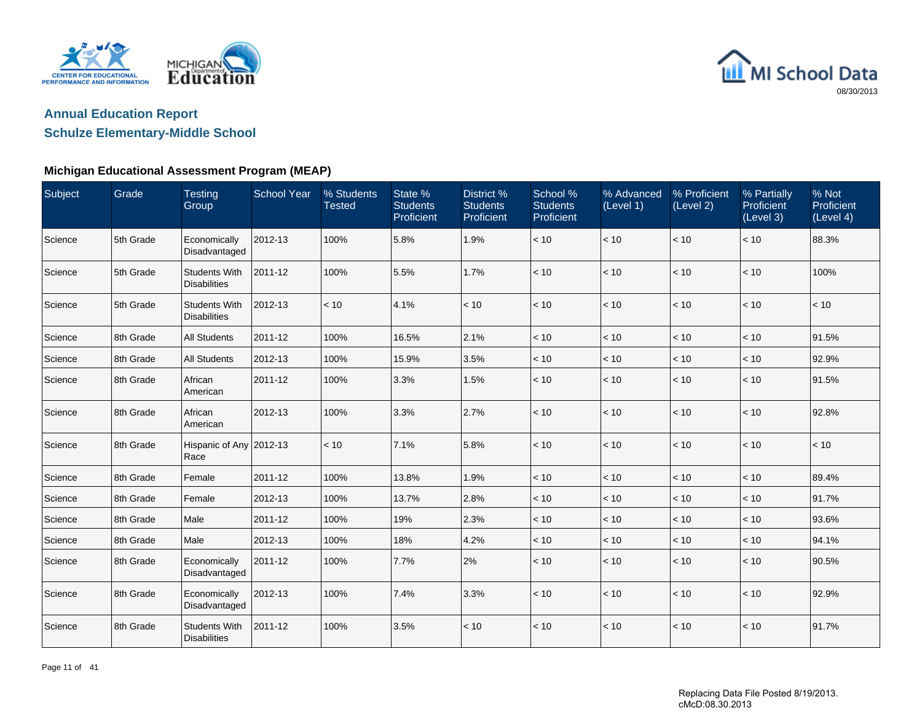



## **Schulze Elementary-Middle School**

| Subject | Grade     | <b>Testing</b><br>Group                     | <b>School Year</b> | % Students<br><b>Tested</b> | State %<br><b>Students</b><br>Proficient | District %<br><b>Students</b><br>Proficient | School %<br><b>Students</b><br>Proficient | % Advanced<br>(Level 1) | % Proficient<br>(Level 2) | % Partially<br><b>Proficient</b><br>(Level 3) | % Not<br>Proficient<br>(Level 4) |
|---------|-----------|---------------------------------------------|--------------------|-----------------------------|------------------------------------------|---------------------------------------------|-------------------------------------------|-------------------------|---------------------------|-----------------------------------------------|----------------------------------|
| Science | 5th Grade | Economically<br>Disadvantaged               | 2012-13            | 100%                        | 5.8%                                     | 1.9%                                        | < 10                                      | $<10$                   | < 10                      | < 10                                          | 88.3%                            |
| Science | 5th Grade | <b>Students With</b><br><b>Disabilities</b> | 2011-12            | 100%                        | 5.5%                                     | 1.7%                                        | < 10                                      | < 10                    | < 10                      | < 10                                          | 100%                             |
| Science | 5th Grade | <b>Students With</b><br><b>Disabilities</b> | 2012-13            | < 10                        | 4.1%                                     | < 10                                        | < 10                                      | < 10                    | < 10                      | < 10                                          | < 10                             |
| Science | 8th Grade | <b>All Students</b>                         | 2011-12            | 100%                        | 16.5%                                    | 2.1%                                        | < 10                                      | < 10                    | $<10$                     | $<10$                                         | 91.5%                            |
| Science | 8th Grade | <b>All Students</b>                         | 2012-13            | 100%                        | 15.9%                                    | 3.5%                                        | < 10                                      | < 10                    | < 10                      | < 10                                          | 92.9%                            |
| Science | 8th Grade | African<br>American                         | 2011-12            | 100%                        | 3.3%                                     | 1.5%                                        | < 10                                      | < 10                    | < 10                      | $<10$                                         | 91.5%                            |
| Science | 8th Grade | African<br>American                         | 2012-13            | 100%                        | 3.3%                                     | 2.7%                                        | < 10                                      | < 10                    | < 10                      | $<10$                                         | 92.8%                            |
| Science | 8th Grade | Hispanic of Any 2012-13<br>Race             |                    | < 10                        | 7.1%                                     | 5.8%                                        | < 10                                      | < 10                    | < 10                      | < 10                                          | < 10                             |
| Science | 8th Grade | Female                                      | 2011-12            | 100%                        | 13.8%                                    | 1.9%                                        | < 10                                      | < 10                    | < 10                      | < 10                                          | 89.4%                            |
| Science | 8th Grade | Female                                      | 2012-13            | 100%                        | 13.7%                                    | 2.8%                                        | < 10                                      | < 10                    | < 10                      | < 10                                          | 91.7%                            |
| Science | 8th Grade | Male                                        | 2011-12            | 100%                        | 19%                                      | 2.3%                                        | < 10                                      | $<10$                   | $<10$                     | < 10                                          | 93.6%                            |
| Science | 8th Grade | Male                                        | 2012-13            | 100%                        | 18%                                      | 4.2%                                        | < 10                                      | < 10                    | < 10                      | < 10                                          | 94.1%                            |
| Science | 8th Grade | Economically<br>Disadvantaged               | 2011-12            | 100%                        | 7.7%                                     | 2%                                          | < 10                                      | < 10                    | < 10                      | < 10                                          | 90.5%                            |
| Science | 8th Grade | Economically<br>Disadvantaged               | 2012-13            | 100%                        | 7.4%                                     | 3.3%                                        | < 10                                      | < 10                    | < 10                      | $<10$                                         | 92.9%                            |
| Science | 8th Grade | <b>Students With</b><br><b>Disabilities</b> | 2011-12            | 100%                        | 3.5%                                     | < 10                                        | < 10                                      | < 10                    | < 10                      | < 10                                          | 91.7%                            |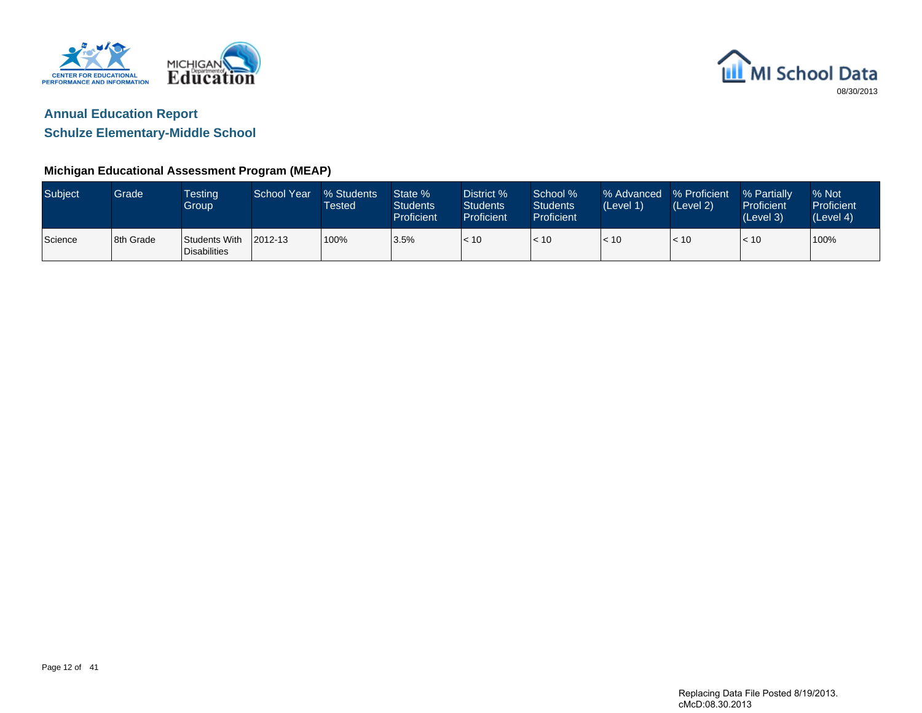



**Schulze Elementary-Middle School**

| Subject | Grade     | <b>Testing</b><br>Group       | School Year  | % Students<br><b>Tested</b> | State %<br><b>Students</b><br><b>Proficient</b> | District %<br><b>Students</b><br>Proficient | School %<br><b>Students</b><br><b>Proficient</b> | % Advanced<br>(Level 1) | % Proficient<br>(Level 2) | % Partially<br>Proficient<br>(Level 3) | % Not<br>Proficient<br>(Level 4) |
|---------|-----------|-------------------------------|--------------|-----------------------------|-------------------------------------------------|---------------------------------------------|--------------------------------------------------|-------------------------|---------------------------|----------------------------------------|----------------------------------|
| Science | 8th Grade | Students With<br>Disabilities | $12012 - 13$ | 100%                        | 3.5%                                            | < 10                                        | < 10                                             | < 10                    | $\vert$ < 10              | < 10                                   | 100%                             |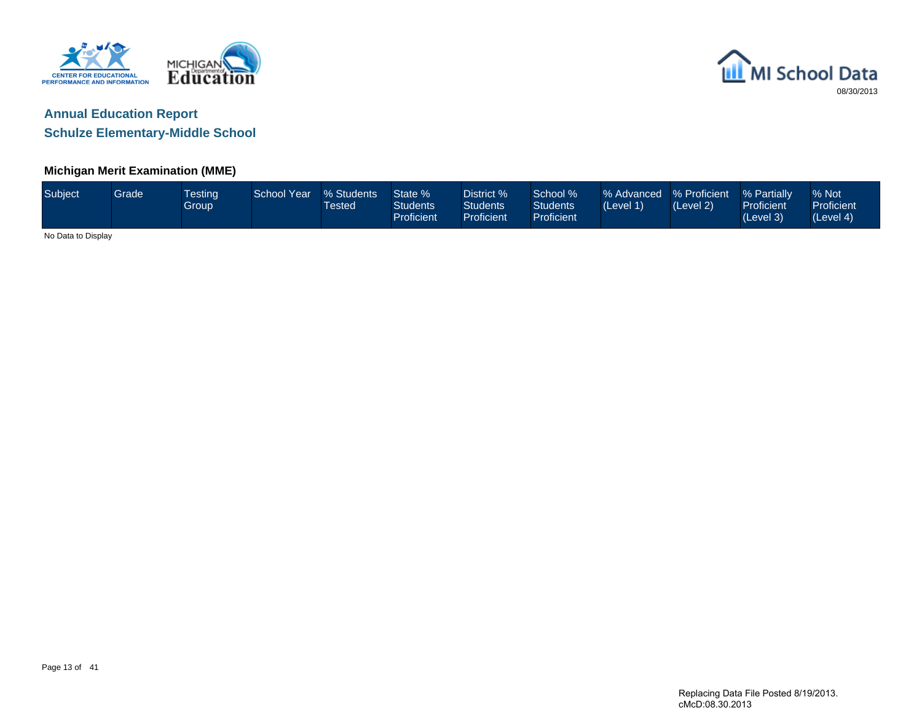



#### **Michigan Merit Examination (MME)**

| Subject            | Grade <sup>1</sup> | <b>Testing</b><br>Group | School Year | % Students<br><b>Tested</b> | State %<br><b>Students</b><br>Proficient | District %<br><b>Students</b><br><b>Proficient</b> | School %<br><b>Students</b><br>Proficient | % Advanced % Proficient<br>(Level 1) | (Level 2) | % Partially<br>Proficient<br>(Level 3) | % Not<br>Proficient<br>(Level 4) |
|--------------------|--------------------|-------------------------|-------------|-----------------------------|------------------------------------------|----------------------------------------------------|-------------------------------------------|--------------------------------------|-----------|----------------------------------------|----------------------------------|
| No Data to Display |                    |                         |             |                             |                                          |                                                    |                                           |                                      |           |                                        |                                  |

Page 13 of 41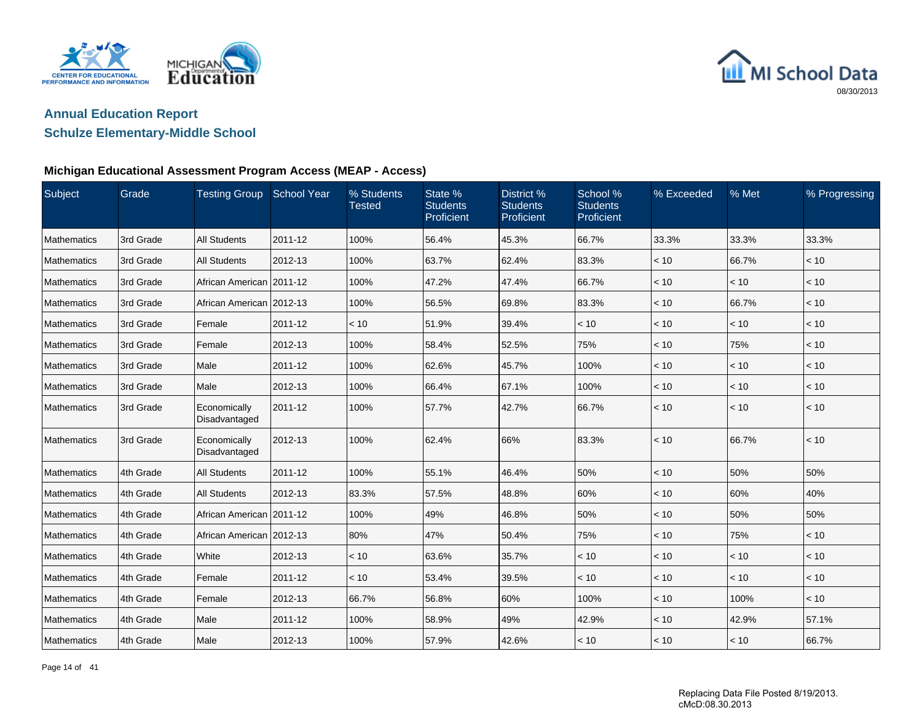



### **Schulze Elementary-Middle School**

### **Michigan Educational Assessment Program Access (MEAP - Access)**

| Subject            | Grade     | <b>Testing Group</b>          | <b>School Year</b> | % Students<br><b>Tested</b> | State %<br><b>Students</b><br>Proficient | District %<br><b>Students</b><br>Proficient | School %<br><b>Students</b><br>Proficient | % Exceeded | % Met | % Progressing |
|--------------------|-----------|-------------------------------|--------------------|-----------------------------|------------------------------------------|---------------------------------------------|-------------------------------------------|------------|-------|---------------|
| Mathematics        | 3rd Grade | <b>All Students</b>           | 2011-12            | 100%                        | 56.4%                                    | 45.3%                                       | 66.7%                                     | 33.3%      | 33.3% | 33.3%         |
| <b>Mathematics</b> | 3rd Grade | <b>All Students</b>           | 2012-13            | 100%                        | 63.7%                                    | 62.4%                                       | 83.3%                                     | < 10       | 66.7% | < 10          |
| Mathematics        | 3rd Grade | African American 2011-12      |                    | 100%                        | 47.2%                                    | 47.4%                                       | 66.7%                                     | < 10       | < 10  | < 10          |
| Mathematics        | 3rd Grade | African American 2012-13      |                    | 100%                        | 56.5%                                    | 69.8%                                       | 83.3%                                     | < 10       | 66.7% | < 10          |
| Mathematics        | 3rd Grade | Female                        | 2011-12            | < 10                        | 51.9%                                    | 39.4%                                       | < 10                                      | < 10       | < 10  | < 10          |
| Mathematics        | 3rd Grade | Female                        | 2012-13            | 100%                        | 58.4%                                    | 52.5%                                       | 75%                                       | < 10       | 75%   | < 10          |
| Mathematics        | 3rd Grade | Male                          | 2011-12            | 100%                        | 62.6%                                    | 45.7%                                       | 100%                                      | < 10       | < 10  | < 10          |
| Mathematics        | 3rd Grade | Male                          | 2012-13            | 100%                        | 66.4%                                    | 67.1%                                       | 100%                                      | < 10       | < 10  | < 10          |
| Mathematics        | 3rd Grade | Economically<br>Disadvantaged | 2011-12            | 100%                        | 57.7%                                    | 42.7%                                       | 66.7%                                     | < 10       | < 10  | < 10          |
| Mathematics        | 3rd Grade | Economically<br>Disadvantaged | 2012-13            | 100%                        | 62.4%                                    | 66%                                         | 83.3%                                     | < 10       | 66.7% | < 10          |
| Mathematics        | 4th Grade | <b>All Students</b>           | 2011-12            | 100%                        | 55.1%                                    | 46.4%                                       | 50%                                       | < 10       | 50%   | 50%           |
| Mathematics        | 4th Grade | <b>All Students</b>           | 2012-13            | 83.3%                       | 57.5%                                    | 48.8%                                       | 60%                                       | < 10       | 60%   | 40%           |
| Mathematics        | 4th Grade | African American   2011-12    |                    | 100%                        | 49%                                      | 46.8%                                       | 50%                                       | < 10       | 50%   | 50%           |
| Mathematics        | 4th Grade | African American 2012-13      |                    | 80%                         | 47%                                      | 50.4%                                       | 75%                                       | < 10       | 75%   | < 10          |
| Mathematics        | 4th Grade | White                         | 2012-13            | < 10                        | 63.6%                                    | 35.7%                                       | < 10                                      | < 10       | < 10  | < 10          |
| Mathematics        | 4th Grade | Female                        | 2011-12            | < 10                        | 53.4%                                    | 39.5%                                       | < 10                                      | < 10       | < 10  | < 10          |
| Mathematics        | 4th Grade | Female                        | 2012-13            | 66.7%                       | 56.8%                                    | 60%                                         | 100%                                      | < 10       | 100%  | < 10          |
| Mathematics        | 4th Grade | Male                          | 2011-12            | 100%                        | 58.9%                                    | 49%                                         | 42.9%                                     | < 10       | 42.9% | 57.1%         |
| Mathematics        | 4th Grade | Male                          | 2012-13            | 100%                        | 57.9%                                    | 42.6%                                       | < 10                                      | < 10       | < 10  | 66.7%         |

Page 14 of 41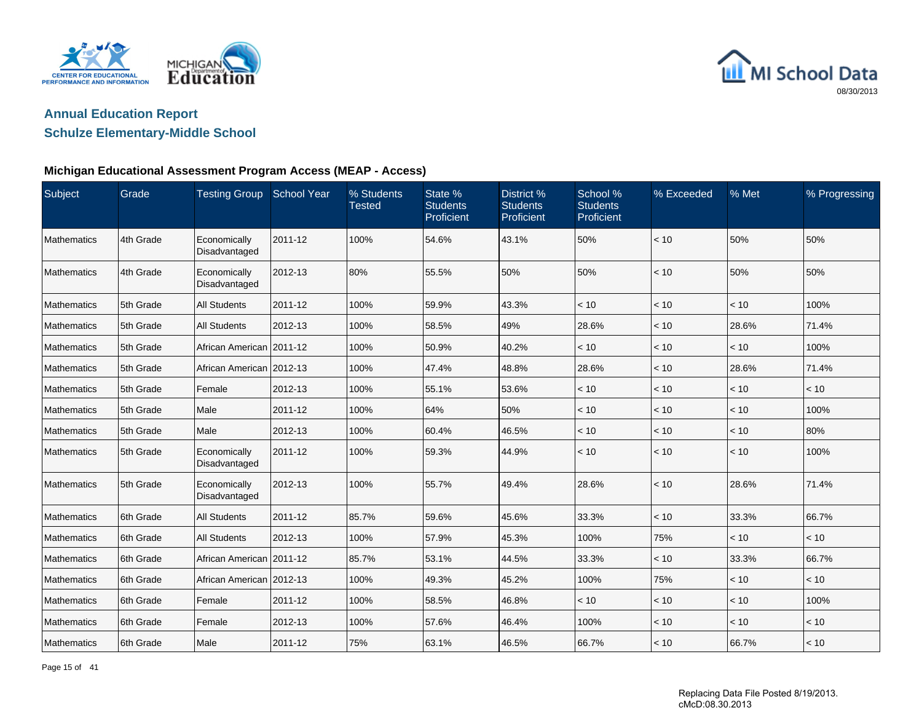



### **Schulze Elementary-Middle School**

| Subject            | Grade     | Testing Group School Year     |         | % Students<br><b>Tested</b> | State %<br><b>Students</b><br>Proficient | District %<br><b>Students</b><br>Proficient | School %<br><b>Students</b><br>Proficient | % Exceeded | % Met | % Progressing |
|--------------------|-----------|-------------------------------|---------|-----------------------------|------------------------------------------|---------------------------------------------|-------------------------------------------|------------|-------|---------------|
| Mathematics        | 4th Grade | Economically<br>Disadvantaged | 2011-12 | 100%                        | 54.6%                                    | 43.1%                                       | 50%                                       | < 10       | 50%   | 50%           |
| <b>Mathematics</b> | 4th Grade | Economically<br>Disadvantaged | 2012-13 | 80%                         | 55.5%                                    | 50%                                         | 50%                                       | < 10       | 50%   | 50%           |
| Mathematics        | 5th Grade | <b>All Students</b>           | 2011-12 | 100%                        | 59.9%                                    | 43.3%                                       | < 10                                      | < 10       | < 10  | 100%          |
| <b>Mathematics</b> | 5th Grade | <b>All Students</b>           | 2012-13 | 100%                        | 58.5%                                    | 49%                                         | 28.6%                                     | < 10       | 28.6% | 71.4%         |
| <b>Mathematics</b> | 5th Grade | African American 2011-12      |         | 100%                        | 50.9%                                    | 40.2%                                       | < 10                                      | < 10       | < 10  | 100%          |
| Mathematics        | 5th Grade | African American 2012-13      |         | 100%                        | 47.4%                                    | 48.8%                                       | 28.6%                                     | < 10       | 28.6% | 71.4%         |
| Mathematics        | 5th Grade | Female                        | 2012-13 | 100%                        | 55.1%                                    | 53.6%                                       | < 10                                      | < 10       | < 10  | < 10          |
| <b>Mathematics</b> | 5th Grade | Male                          | 2011-12 | 100%                        | 64%                                      | 50%                                         | < 10                                      | < 10       | < 10  | 100%          |
| <b>Mathematics</b> | 5th Grade | Male                          | 2012-13 | 100%                        | 60.4%                                    | 46.5%                                       | < 10                                      | < 10       | < 10  | 80%           |
| <b>Mathematics</b> | 5th Grade | Economically<br>Disadvantaged | 2011-12 | 100%                        | 59.3%                                    | 44.9%                                       | < 10                                      | < 10       | < 10  | 100%          |
| <b>Mathematics</b> | 5th Grade | Economically<br>Disadvantaged | 2012-13 | 100%                        | 55.7%                                    | 49.4%                                       | 28.6%                                     | < 10       | 28.6% | 71.4%         |
| Mathematics        | 6th Grade | <b>All Students</b>           | 2011-12 | 85.7%                       | 59.6%                                    | 45.6%                                       | 33.3%                                     | < 10       | 33.3% | 66.7%         |
| <b>Mathematics</b> | 6th Grade | <b>All Students</b>           | 2012-13 | 100%                        | 57.9%                                    | 45.3%                                       | 100%                                      | 75%        | < 10  | < 10          |
| <b>Mathematics</b> | 6th Grade | African American 2011-12      |         | 85.7%                       | 53.1%                                    | 44.5%                                       | 33.3%                                     | < 10       | 33.3% | 66.7%         |
| Mathematics        | 6th Grade | African American 2012-13      |         | 100%                        | 49.3%                                    | 45.2%                                       | 100%                                      | 75%        | < 10  | < 10          |
| Mathematics        | 6th Grade | Female                        | 2011-12 | 100%                        | 58.5%                                    | 46.8%                                       | < 10                                      | < 10       | < 10  | 100%          |
| Mathematics        | 6th Grade | Female                        | 2012-13 | 100%                        | 57.6%                                    | 46.4%                                       | 100%                                      | < 10       | < 10  | < 10          |
| Mathematics        | 6th Grade | Male                          | 2011-12 | 75%                         | 63.1%                                    | 46.5%                                       | 66.7%                                     | < 10       | 66.7% | $ $ < 10      |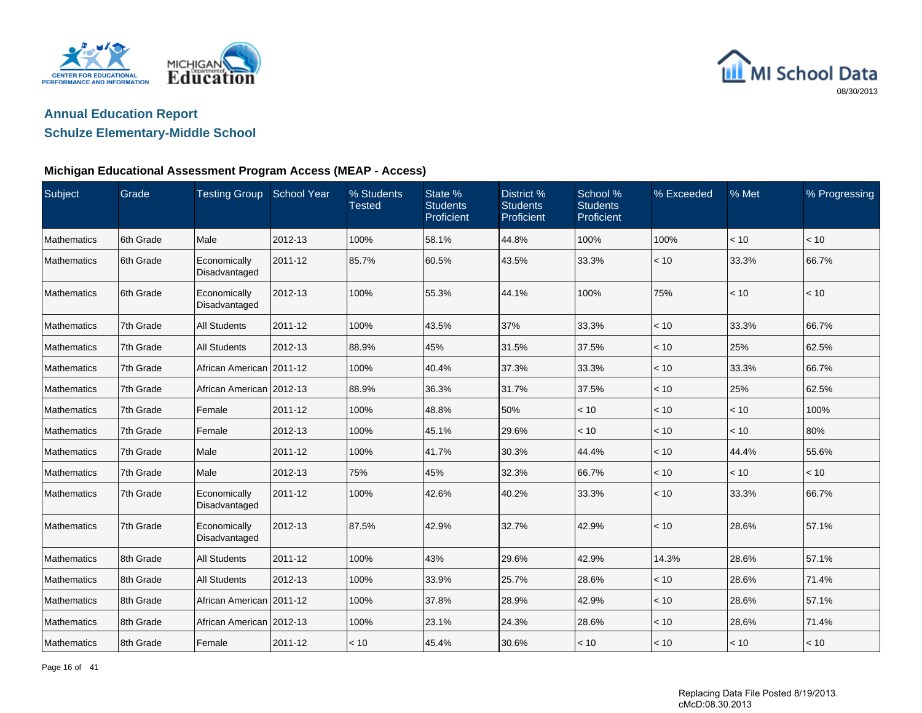



### **Schulze Elementary-Middle School**

| Subject            | Grade     | <b>Testing Group</b>          | <b>School Year</b> | % Students<br><b>Tested</b> | State %<br><b>Students</b><br>Proficient | District %<br><b>Students</b><br>Proficient | School %<br><b>Students</b><br>Proficient | % Exceeded | % Met | % Progressing |
|--------------------|-----------|-------------------------------|--------------------|-----------------------------|------------------------------------------|---------------------------------------------|-------------------------------------------|------------|-------|---------------|
| Mathematics        | 6th Grade | Male                          | 2012-13            | 100%                        | 58.1%                                    | 44.8%                                       | 100%                                      | 100%       | < 10  | < 10          |
| <b>Mathematics</b> | 6th Grade | Economically<br>Disadvantaged | 2011-12            | 85.7%                       | 60.5%                                    | 43.5%                                       | 33.3%                                     | < 10       | 33.3% | 66.7%         |
| <b>Mathematics</b> | 6th Grade | Economically<br>Disadvantaged | 2012-13            | 100%                        | 55.3%                                    | 44.1%                                       | 100%                                      | 75%        | < 10  | < 10          |
| <b>Mathematics</b> | 7th Grade | <b>All Students</b>           | 2011-12            | 100%                        | 43.5%                                    | 37%                                         | 33.3%                                     | < 10       | 33.3% | 66.7%         |
| <b>Mathematics</b> | 7th Grade | <b>All Students</b>           | 2012-13            | 88.9%                       | 45%                                      | 31.5%                                       | 37.5%                                     | < 10       | 25%   | 62.5%         |
| Mathematics        | 7th Grade | African American   2011-12    |                    | 100%                        | 40.4%                                    | 37.3%                                       | 33.3%                                     | < 10       | 33.3% | 66.7%         |
| <b>Mathematics</b> | 7th Grade | African American 2012-13      |                    | 88.9%                       | 36.3%                                    | 31.7%                                       | 37.5%                                     | < 10       | 25%   | 62.5%         |
| <b>Mathematics</b> | 7th Grade | Female                        | 2011-12            | 100%                        | 48.8%                                    | 50%                                         | < 10                                      | < 10       | < 10  | 100%          |
| Mathematics        | 7th Grade | Female                        | 2012-13            | 100%                        | 45.1%                                    | 29.6%                                       | < 10                                      | < 10       | < 10  | 80%           |
| Mathematics        | 7th Grade | Male                          | 2011-12            | 100%                        | 41.7%                                    | 30.3%                                       | 44.4%                                     | < 10       | 44.4% | 55.6%         |
| Mathematics        | 7th Grade | Male                          | 2012-13            | 75%                         | 45%                                      | 32.3%                                       | 66.7%                                     | < 10       | < 10  | < 10          |
| Mathematics        | 7th Grade | Economically<br>Disadvantaged | 2011-12            | 100%                        | 42.6%                                    | 40.2%                                       | 33.3%                                     | < 10       | 33.3% | 66.7%         |
| Mathematics        | 7th Grade | Economically<br>Disadvantaged | 2012-13            | 87.5%                       | 42.9%                                    | 32.7%                                       | 42.9%                                     | < 10       | 28.6% | 57.1%         |
| <b>Mathematics</b> | 8th Grade | <b>All Students</b>           | 2011-12            | 100%                        | 43%                                      | 29.6%                                       | 42.9%                                     | 14.3%      | 28.6% | 57.1%         |
| Mathematics        | 8th Grade | <b>All Students</b>           | 2012-13            | 100%                        | 33.9%                                    | 25.7%                                       | 28.6%                                     | < 10       | 28.6% | 71.4%         |
| Mathematics        | 8th Grade | African American 2011-12      |                    | 100%                        | 37.8%                                    | 28.9%                                       | 42.9%                                     | < 10       | 28.6% | 57.1%         |
| <b>Mathematics</b> | 8th Grade | African American 2012-13      |                    | 100%                        | 23.1%                                    | 24.3%                                       | 28.6%                                     | < 10       | 28.6% | 71.4%         |
| Mathematics        | 8th Grade | Female                        | 2011-12            | < 10                        | 45.4%                                    | 30.6%                                       | < 10                                      | < 10       | < 10  | $ $ < 10      |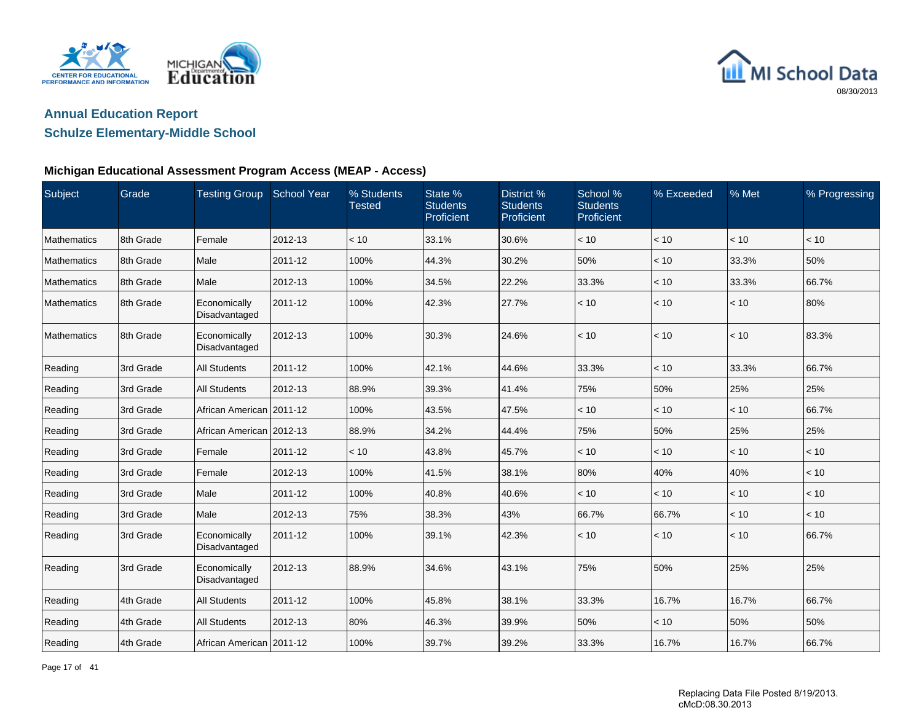



### **Schulze Elementary-Middle School**

| Subject            | Grade     | <b>Testing Group</b>          | School Year | % Students<br><b>Tested</b> | State %<br><b>Students</b><br>Proficient | District %<br><b>Students</b><br>Proficient | School %<br><b>Students</b><br>Proficient | % Exceeded | % Met | % Progressing |
|--------------------|-----------|-------------------------------|-------------|-----------------------------|------------------------------------------|---------------------------------------------|-------------------------------------------|------------|-------|---------------|
| <b>Mathematics</b> | 8th Grade | Female                        | 2012-13     | < 10                        | 33.1%                                    | 30.6%                                       | < 10                                      | < 10       | < 10  | < 10          |
| <b>Mathematics</b> | 8th Grade | Male                          | 2011-12     | 100%                        | 44.3%                                    | 30.2%                                       | 50%                                       | < 10       | 33.3% | 50%           |
| Mathematics        | 8th Grade | Male                          | 2012-13     | 100%                        | 34.5%                                    | 22.2%                                       | 33.3%                                     | < 10       | 33.3% | 66.7%         |
| <b>Mathematics</b> | 8th Grade | Economically<br>Disadvantaged | 2011-12     | 100%                        | 42.3%                                    | 27.7%                                       | < 10                                      | < 10       | < 10  | 80%           |
| <b>Mathematics</b> | 8th Grade | Economically<br>Disadvantaged | 2012-13     | 100%                        | 30.3%                                    | 24.6%                                       | < 10                                      | < 10       | < 10  | 83.3%         |
| Reading            | 3rd Grade | <b>All Students</b>           | 2011-12     | 100%                        | 42.1%                                    | 44.6%                                       | 33.3%                                     | < 10       | 33.3% | 66.7%         |
| Reading            | 3rd Grade | <b>All Students</b>           | 2012-13     | 88.9%                       | 39.3%                                    | 41.4%                                       | 75%                                       | 50%        | 25%   | 25%           |
| Reading            | 3rd Grade | African American 2011-12      |             | 100%                        | 43.5%                                    | 47.5%                                       | < 10                                      | < 10       | < 10  | 66.7%         |
| Reading            | 3rd Grade | African American 2012-13      |             | 88.9%                       | 34.2%                                    | 44.4%                                       | 75%                                       | 50%        | 25%   | 25%           |
| Reading            | 3rd Grade | Female                        | 2011-12     | < 10                        | 43.8%                                    | 45.7%                                       | < 10                                      | < 10       | < 10  | < 10          |
| Reading            | 3rd Grade | Female                        | 2012-13     | 100%                        | 41.5%                                    | 38.1%                                       | 80%                                       | 40%        | 40%   | < 10          |
| Reading            | 3rd Grade | Male                          | 2011-12     | 100%                        | 40.8%                                    | 40.6%                                       | < 10                                      | < 10       | < 10  | < 10          |
| Reading            | 3rd Grade | Male                          | 2012-13     | 75%                         | 38.3%                                    | 43%                                         | 66.7%                                     | 66.7%      | < 10  | < 10          |
| Reading            | 3rd Grade | Economically<br>Disadvantaged | 2011-12     | 100%                        | 39.1%                                    | 42.3%                                       | < 10                                      | < 10       | < 10  | 66.7%         |
| Reading            | 3rd Grade | Economically<br>Disadvantaged | 2012-13     | 88.9%                       | 34.6%                                    | 43.1%                                       | 75%                                       | 50%        | 25%   | 25%           |
| Reading            | 4th Grade | <b>All Students</b>           | 2011-12     | 100%                        | 45.8%                                    | 38.1%                                       | 33.3%                                     | 16.7%      | 16.7% | 66.7%         |
| Reading            | 4th Grade | <b>All Students</b>           | 2012-13     | 80%                         | 46.3%                                    | 39.9%                                       | 50%                                       | < 10       | 50%   | 50%           |
| Reading            | 4th Grade | African American   2011-12    |             | 100%                        | 39.7%                                    | 39.2%                                       | 33.3%                                     | 16.7%      | 16.7% | 66.7%         |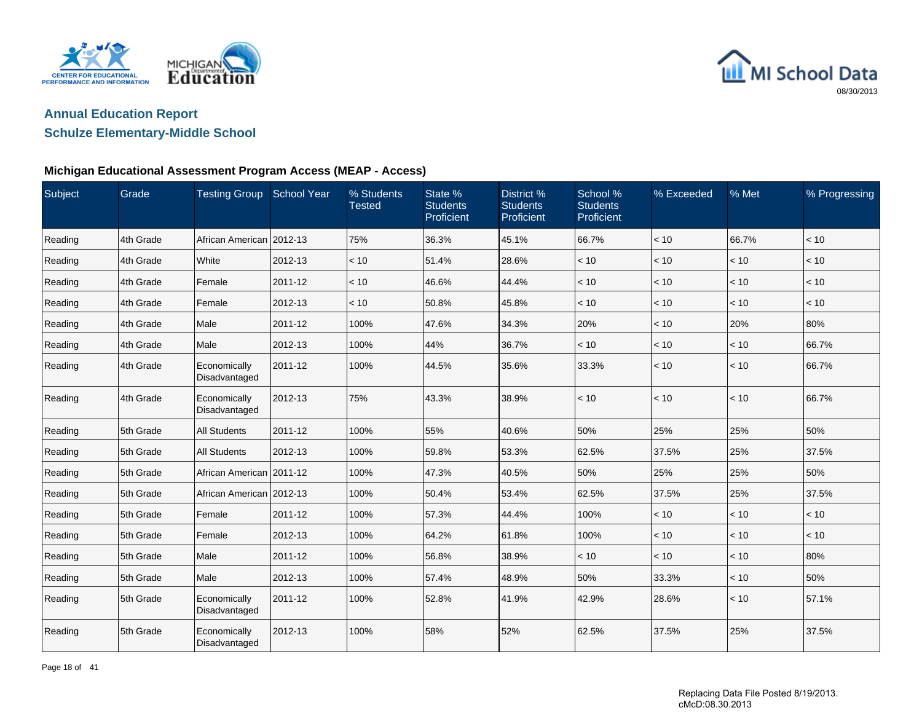



### **Schulze Elementary-Middle School**

### **Michigan Educational Assessment Program Access (MEAP - Access)**

| Subject | Grade     | <b>Testing Group</b>          | <b>School Year</b> | % Students<br><b>Tested</b> | State %<br><b>Students</b><br>Proficient | District %<br><b>Students</b><br>Proficient | School %<br><b>Students</b><br>Proficient | % Exceeded | % Met | % Progressing |
|---------|-----------|-------------------------------|--------------------|-----------------------------|------------------------------------------|---------------------------------------------|-------------------------------------------|------------|-------|---------------|
| Reading | 4th Grade | African American 2012-13      |                    | 75%                         | 36.3%                                    | 45.1%                                       | 66.7%                                     | < 10       | 66.7% | < 10          |
| Reading | 4th Grade | White                         | 2012-13            | < 10                        | 51.4%                                    | 28.6%                                       | < 10                                      | < 10       | < 10  | < 10          |
| Reading | 4th Grade | Female                        | 2011-12            | < 10                        | 46.6%                                    | 44.4%                                       | < 10                                      | < 10       | < 10  | < 10          |
| Reading | 4th Grade | Female                        | 2012-13            | < 10                        | 50.8%                                    | 45.8%                                       | < 10                                      | < 10       | < 10  | < 10          |
| Reading | 4th Grade | Male                          | 2011-12            | 100%                        | 47.6%                                    | 34.3%                                       | 20%                                       | < 10       | 20%   | 80%           |
| Reading | 4th Grade | Male                          | 2012-13            | 100%                        | 44%                                      | 36.7%                                       | < 10                                      | < 10       | < 10  | 66.7%         |
| Reading | 4th Grade | Economically<br>Disadvantaged | 2011-12            | 100%                        | 44.5%                                    | 35.6%                                       | 33.3%                                     | < 10       | < 10  | 66.7%         |
| Reading | 4th Grade | Economically<br>Disadvantaged | 2012-13            | 75%                         | 43.3%                                    | 38.9%                                       | < 10                                      | < 10       | < 10  | 66.7%         |
| Reading | 5th Grade | <b>All Students</b>           | 2011-12            | 100%                        | 55%                                      | 40.6%                                       | 50%                                       | 25%        | 25%   | 50%           |
| Reading | 5th Grade | <b>All Students</b>           | 2012-13            | 100%                        | 59.8%                                    | 53.3%                                       | 62.5%                                     | 37.5%      | 25%   | 37.5%         |
| Reading | 5th Grade | African American 2011-12      |                    | 100%                        | 47.3%                                    | 40.5%                                       | 50%                                       | 25%        | 25%   | 50%           |
| Reading | 5th Grade | African American 2012-13      |                    | 100%                        | 50.4%                                    | 53.4%                                       | 62.5%                                     | 37.5%      | 25%   | 37.5%         |
| Reading | 5th Grade | Female                        | 2011-12            | 100%                        | 57.3%                                    | 44.4%                                       | 100%                                      | $<10$      | < 10  | < 10          |
| Reading | 5th Grade | Female                        | 2012-13            | 100%                        | 64.2%                                    | 61.8%                                       | 100%                                      | < 10       | < 10  | < 10          |
| Reading | 5th Grade | Male                          | 2011-12            | 100%                        | 56.8%                                    | 38.9%                                       | < 10                                      | < 10       | < 10  | 80%           |
| Reading | 5th Grade | Male                          | 2012-13            | 100%                        | 57.4%                                    | 48.9%                                       | 50%                                       | 33.3%      | < 10  | 50%           |
| Reading | 5th Grade | Economically<br>Disadvantaged | 2011-12            | 100%                        | 52.8%                                    | 41.9%                                       | 42.9%                                     | 28.6%      | < 10  | 57.1%         |
| Reading | 5th Grade | Economically<br>Disadvantaged | 2012-13            | 100%                        | 58%                                      | 52%                                         | 62.5%                                     | 37.5%      | 25%   | 37.5%         |

Page 18 of 41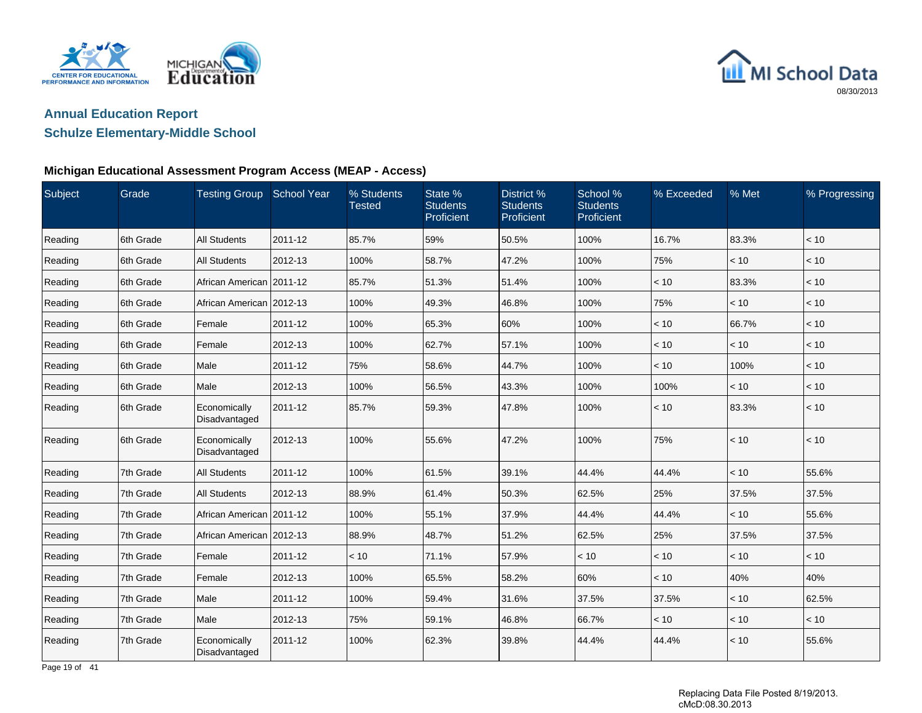



### **Schulze Elementary-Middle School**

### **Michigan Educational Assessment Program Access (MEAP - Access)**

| Subject | Grade     | <b>Testing Group</b>          | <b>School Year</b> | % Students<br><b>Tested</b> | State %<br><b>Students</b><br>Proficient | District %<br><b>Students</b><br>Proficient | School %<br><b>Students</b><br>Proficient | % Exceeded | % Met | % Progressing |
|---------|-----------|-------------------------------|--------------------|-----------------------------|------------------------------------------|---------------------------------------------|-------------------------------------------|------------|-------|---------------|
| Reading | 6th Grade | <b>All Students</b>           | 2011-12            | 85.7%                       | 59%                                      | 50.5%                                       | 100%                                      | 16.7%      | 83.3% | < 10          |
| Reading | 6th Grade | <b>All Students</b>           | 2012-13            | 100%                        | 58.7%                                    | 47.2%                                       | 100%                                      | 75%        | < 10  | < 10          |
| Reading | 6th Grade | African American 2011-12      |                    | 85.7%                       | 51.3%                                    | 51.4%                                       | 100%                                      | < 10       | 83.3% | $<10$         |
| Reading | 6th Grade | African American   2012-13    |                    | 100%                        | 49.3%                                    | 46.8%                                       | 100%                                      | 75%        | < 10  | < 10          |
| Reading | 6th Grade | Female                        | 2011-12            | 100%                        | 65.3%                                    | 60%                                         | 100%                                      | < 10       | 66.7% | < 10          |
| Reading | 6th Grade | Female                        | 2012-13            | 100%                        | 62.7%                                    | 57.1%                                       | 100%                                      | < 10       | < 10  | < 10          |
| Reading | 6th Grade | Male                          | 2011-12            | 75%                         | 58.6%                                    | 44.7%                                       | 100%                                      | < 10       | 100%  | < 10          |
| Reading | 6th Grade | Male                          | 2012-13            | 100%                        | 56.5%                                    | 43.3%                                       | 100%                                      | 100%       | < 10  | < 10          |
| Reading | 6th Grade | Economically<br>Disadvantaged | 2011-12            | 85.7%                       | 59.3%                                    | 47.8%                                       | 100%                                      | < 10       | 83.3% | < 10          |
| Reading | 6th Grade | Economically<br>Disadvantaged | 2012-13            | 100%                        | 55.6%                                    | 47.2%                                       | 100%                                      | 75%        | < 10  | $<10$         |
| Reading | 7th Grade | <b>All Students</b>           | 2011-12            | 100%                        | 61.5%                                    | 39.1%                                       | 44.4%                                     | 44.4%      | < 10  | 55.6%         |
| Reading | 7th Grade | <b>All Students</b>           | 2012-13            | 88.9%                       | 61.4%                                    | 50.3%                                       | 62.5%                                     | 25%        | 37.5% | 37.5%         |
| Reading | 7th Grade | African American   2011-12    |                    | 100%                        | 55.1%                                    | 37.9%                                       | 44.4%                                     | 44.4%      | < 10  | 55.6%         |
| Reading | 7th Grade | African American   2012-13    |                    | 88.9%                       | 48.7%                                    | 51.2%                                       | 62.5%                                     | 25%        | 37.5% | 37.5%         |
| Reading | 7th Grade | Female                        | 2011-12            | < 10                        | 71.1%                                    | 57.9%                                       | < 10                                      | < 10       | < 10  | < 10          |
| Reading | 7th Grade | Female                        | 2012-13            | 100%                        | 65.5%                                    | 58.2%                                       | 60%                                       | < 10       | 40%   | 40%           |
| Reading | 7th Grade | Male                          | 2011-12            | 100%                        | 59.4%                                    | 31.6%                                       | 37.5%                                     | 37.5%      | < 10  | 62.5%         |
| Reading | 7th Grade | Male                          | 2012-13            | 75%                         | 59.1%                                    | 46.8%                                       | 66.7%                                     | < 10       | < 10  | < 10          |
| Reading | 7th Grade | Economically<br>Disadvantaged | 2011-12            | 100%                        | 62.3%                                    | 39.8%                                       | 44.4%                                     | 44.4%      | < 10  | 55.6%         |

Page 19 of 41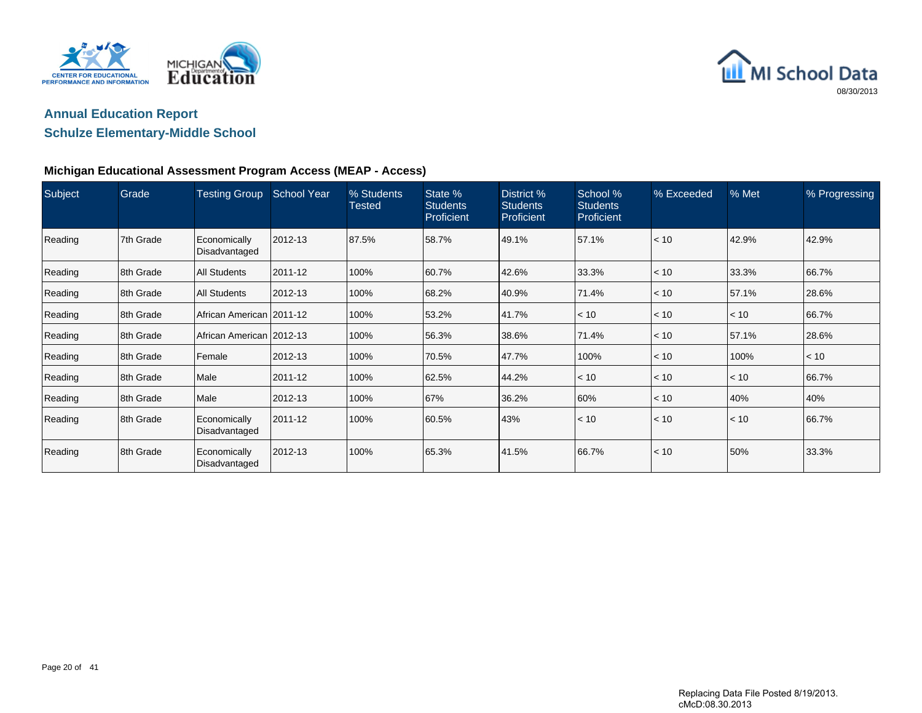



### **Schulze Elementary-Middle School**

| Subject | Grade     | <b>Testing Group</b>          | <b>School Year</b> | % Students<br>Tested | State %<br><b>Students</b><br>Proficient | District %<br><b>Students</b><br>Proficient | School %<br><b>Students</b><br><b>Proficient</b> | % Exceeded | % Met | % Progressing |
|---------|-----------|-------------------------------|--------------------|----------------------|------------------------------------------|---------------------------------------------|--------------------------------------------------|------------|-------|---------------|
| Reading | 7th Grade | Economically<br>Disadvantaged | 2012-13            | 87.5%                | 58.7%                                    | 49.1%                                       | 57.1%                                            | < 10       | 42.9% | 42.9%         |
| Reading | 8th Grade | <b>All Students</b>           | 2011-12            | 100%                 | 60.7%                                    | 42.6%                                       | 33.3%                                            | < 10       | 33.3% | 66.7%         |
| Reading | 8th Grade | <b>All Students</b>           | 2012-13            | 100%                 | 68.2%                                    | 40.9%                                       | 71.4%                                            | < 10       | 57.1% | 28.6%         |
| Reading | 8th Grade | African American 2011-12      |                    | 100%                 | 53.2%                                    | 41.7%                                       | < 10                                             | < 10       | < 10  | 66.7%         |
| Reading | 8th Grade | African American 2012-13      |                    | 100%                 | 56.3%                                    | 38.6%                                       | 71.4%                                            | < 10       | 57.1% | 28.6%         |
| Reading | 8th Grade | Female                        | 2012-13            | 100%                 | 70.5%                                    | 47.7%                                       | 100%                                             | < 10       | 100%  | < 10          |
| Reading | 8th Grade | Male                          | 2011-12            | 100%                 | 62.5%                                    | 44.2%                                       | < 10                                             | < 10       | < 10  | 66.7%         |
| Reading | 8th Grade | Male                          | 2012-13            | 100%                 | 67%                                      | 36.2%                                       | 60%                                              | < 10       | 40%   | 40%           |
| Reading | 8th Grade | Economically<br>Disadvantaged | 2011-12            | 100%                 | 60.5%                                    | 43%                                         | < 10                                             | < 10       | < 10  | 66.7%         |
| Reading | 8th Grade | Economically<br>Disadvantaged | 2012-13            | 100%                 | 65.3%                                    | 41.5%                                       | 66.7%                                            | < 10       | 50%   | 33.3%         |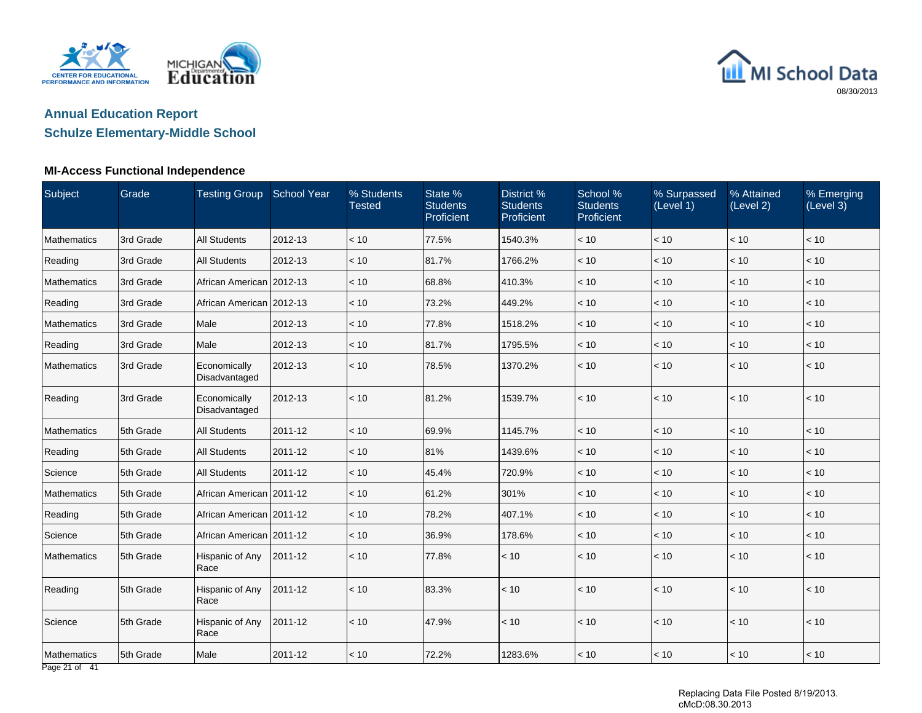



#### **MI-Access Functional Independence**

| Subject                          | Grade     | <b>Testing Group</b>          | <b>School Year</b> | % Students<br><b>Tested</b> | State %<br><b>Students</b><br>Proficient | District %<br><b>Students</b><br>Proficient | School %<br><b>Students</b><br>Proficient | % Surpassed<br>(Level 1) | % Attained<br>(Level 2) | % Emerging<br>(Level 3) |
|----------------------------------|-----------|-------------------------------|--------------------|-----------------------------|------------------------------------------|---------------------------------------------|-------------------------------------------|--------------------------|-------------------------|-------------------------|
| Mathematics                      | 3rd Grade | <b>All Students</b>           | 2012-13            | < 10                        | 77.5%                                    | 1540.3%                                     | < 10                                      | < 10                     | $<10$                   | < 10                    |
| Reading                          | 3rd Grade | <b>All Students</b>           | 2012-13            | < 10                        | 81.7%                                    | 1766.2%                                     | < 10                                      | < 10                     | < 10                    | < 10                    |
| Mathematics                      | 3rd Grade | African American 2012-13      |                    | < 10                        | 68.8%                                    | 410.3%                                      | < 10                                      | < 10                     | < 10                    | < 10                    |
| Reading                          | 3rd Grade | African American 2012-13      |                    | < 10                        | 73.2%                                    | 449.2%                                      | < 10                                      | < 10                     | < 10                    | $<10$                   |
| Mathematics                      | 3rd Grade | Male                          | 2012-13            | < 10                        | 77.8%                                    | 1518.2%                                     | < 10                                      | < 10                     | $<10$                   | < 10                    |
| Reading                          | 3rd Grade | Male                          | 2012-13            | < 10                        | 81.7%                                    | 1795.5%                                     | < 10                                      | < 10                     | < 10                    | < 10                    |
| Mathematics                      | 3rd Grade | Economically<br>Disadvantaged | 2012-13            | < 10                        | 78.5%                                    | 1370.2%                                     | < 10                                      | < 10                     | < 10                    | < 10                    |
| Reading                          | 3rd Grade | Economically<br>Disadvantaged | 2012-13            | < 10                        | 81.2%                                    | 1539.7%                                     | < 10                                      | < 10                     | < 10                    | < 10                    |
| Mathematics                      | 5th Grade | <b>All Students</b>           | 2011-12            | < 10                        | 69.9%                                    | 1145.7%                                     | < 10                                      | < 10                     | < 10                    | < 10                    |
| Reading                          | 5th Grade | <b>All Students</b>           | 2011-12            | < 10                        | 81%                                      | 1439.6%                                     | < 10                                      | < 10                     | < 10                    | < 10                    |
| Science                          | 5th Grade | <b>All Students</b>           | 2011-12            | < 10                        | 45.4%                                    | 720.9%                                      | < 10                                      | < 10                     | $<10$                   | < 10                    |
| Mathematics                      | 5th Grade | African American 2011-12      |                    | < 10                        | 61.2%                                    | 301%                                        | < 10                                      | < 10                     | < 10                    | < 10                    |
| Reading                          | 5th Grade | African American   2011-12    |                    | < 10                        | 78.2%                                    | 407.1%                                      | < 10                                      | < 10                     | < 10                    | < 10                    |
| Science                          | 5th Grade | African American 2011-12      |                    | < 10                        | 36.9%                                    | 178.6%                                      | < 10                                      | $<10$                    | < 10                    | < 10                    |
| <b>Mathematics</b>               | 5th Grade | Hispanic of Any<br>Race       | 2011-12            | < 10                        | 77.8%                                    | < 10                                        | < 10                                      | < 10                     | < 10                    | < 10                    |
| Reading                          | 5th Grade | Hispanic of Any<br>Race       | 2011-12            | < 10                        | 83.3%                                    | < 10                                        | < 10                                      | $\vert$ < 10             | < 10                    | < 10                    |
| Science                          | 5th Grade | Hispanic of Any<br>Race       | 2011-12            | < 10                        | 47.9%                                    | < 10                                        | < 10                                      | < 10                     | $<10$                   | < 10                    |
| Mathematics<br>$D0$ $24$ of $44$ | 5th Grade | Male                          | 2011-12            | < 10                        | 72.2%                                    | 1283.6%                                     | < 10                                      | < 10                     | < 10                    | < 10                    |

Page 21 of 41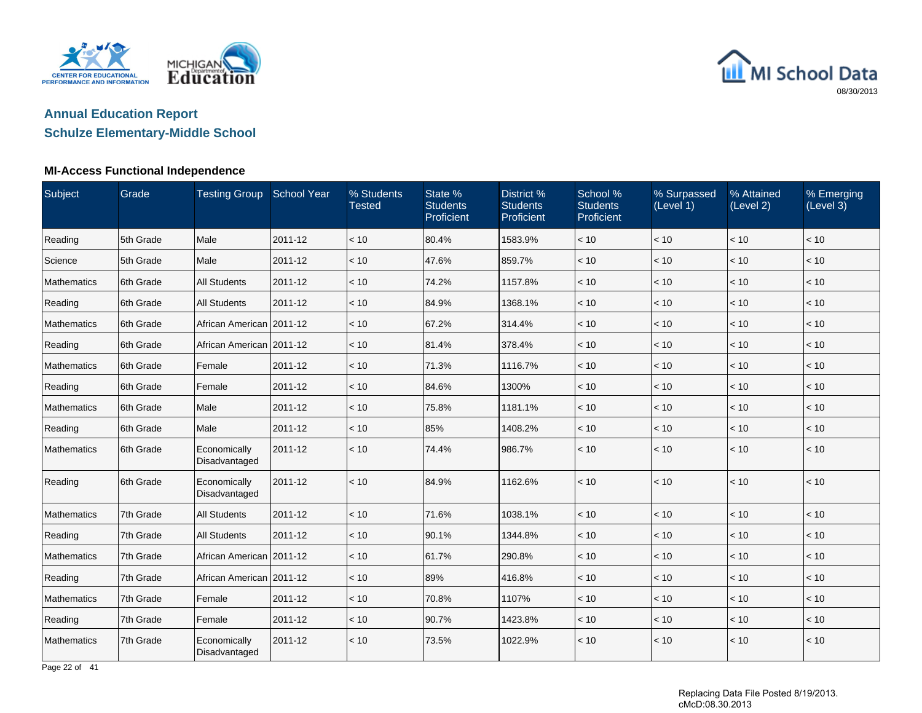



#### **MI-Access Functional Independence**

| Subject            | Grade      | Testing Group School Year     |         | % Students<br><b>Tested</b> | State %<br><b>Students</b><br>Proficient | District %<br><b>Students</b><br>Proficient | School %<br><b>Students</b><br>Proficient | % Surpassed<br>(Level 1) | % Attained<br>(Level 2) | % Emerging<br>(Level 3) |
|--------------------|------------|-------------------------------|---------|-----------------------------|------------------------------------------|---------------------------------------------|-------------------------------------------|--------------------------|-------------------------|-------------------------|
| Reading            | 5th Grade  | Male                          | 2011-12 | < 10                        | 80.4%                                    | 1583.9%                                     | < 10                                      | < 10                     | < 10                    | < 10                    |
| Science            | 5th Grade  | Male                          | 2011-12 | < 10                        | 47.6%                                    | 859.7%                                      | < 10                                      | < 10                     | < 10                    | < 10                    |
| <b>Mathematics</b> | 6th Grade  | <b>All Students</b>           | 2011-12 | < 10                        | 74.2%                                    | 1157.8%                                     | < 10                                      | < 10                     | < 10                    | < 10                    |
| Reading            | 6th Grade  | <b>All Students</b>           | 2011-12 | < 10                        | 84.9%                                    | 1368.1%                                     | < 10                                      | < 10                     | < 10                    | < 10                    |
| <b>Mathematics</b> | 6th Grade  | African American 2011-12      |         | < 10                        | 67.2%                                    | 314.4%                                      | < 10                                      | < 10                     | < 10                    | < 10                    |
| Reading            | 6th Grade  | African American 2011-12      |         | < 10                        | 81.4%                                    | 378.4%                                      | < 10                                      | < 10                     | < 10                    | < 10                    |
| <b>Mathematics</b> | 6th Grade  | Female                        | 2011-12 | < 10                        | 71.3%                                    | 1116.7%                                     | < 10                                      | < 10                     | < 10                    | < 10                    |
| Reading            | 6th Grade  | Female                        | 2011-12 | < 10                        | 84.6%                                    | 1300%                                       | < 10                                      | < 10                     | < 10                    | < 10                    |
| <b>Mathematics</b> | 6th Grade  | Male                          | 2011-12 | < 10                        | 75.8%                                    | 1181.1%                                     | < 10                                      | < 10                     | < 10                    | < 10                    |
| Reading            | 6th Grade  | Male                          | 2011-12 | < 10                        | 85%                                      | 1408.2%                                     | < 10                                      | < 10                     | < 10                    | < 10                    |
| <b>Mathematics</b> | 16th Grade | Economically<br>Disadvantaged | 2011-12 | < 10                        | 74.4%                                    | 986.7%                                      | < 10                                      | < 10                     | < 10                    | < 10                    |
| Reading            | 6th Grade  | Economically<br>Disadvantaged | 2011-12 | < 10                        | 84.9%                                    | 1162.6%                                     | < 10                                      | < 10                     | < 10                    | < 10                    |
| <b>Mathematics</b> | 7th Grade  | <b>All Students</b>           | 2011-12 | < 10                        | 71.6%                                    | 1038.1%                                     | < 10                                      | < 10                     | < 10                    | < 10                    |
| Reading            | 7th Grade  | <b>All Students</b>           | 2011-12 | < 10                        | 90.1%                                    | 1344.8%                                     | < 10                                      | < 10                     | < 10                    | < 10                    |
| <b>Mathematics</b> | 7th Grade  | African American 2011-12      |         | < 10                        | 61.7%                                    | 290.8%                                      | < 10                                      | < 10                     | < 10                    | < 10                    |
| Reading            | 7th Grade  | African American   2011-12    |         | < 10                        | 89%                                      | 416.8%                                      | < 10                                      | $<10$                    | < 10                    | < 10                    |
| <b>Mathematics</b> | 7th Grade  | Female                        | 2011-12 | < 10                        | 70.8%                                    | 1107%                                       | < 10                                      | < 10                     | < 10                    | < 10                    |
| Reading            | 7th Grade  | Female                        | 2011-12 | < 10                        | 90.7%                                    | 1423.8%                                     | < 10                                      | < 10                     | < 10                    | < 10                    |
| <b>Mathematics</b> | 7th Grade  | Economically<br>Disadvantaged | 2011-12 | < 10                        | 73.5%                                    | 1022.9%                                     | < 10                                      | < 10                     | < 10                    | < 10                    |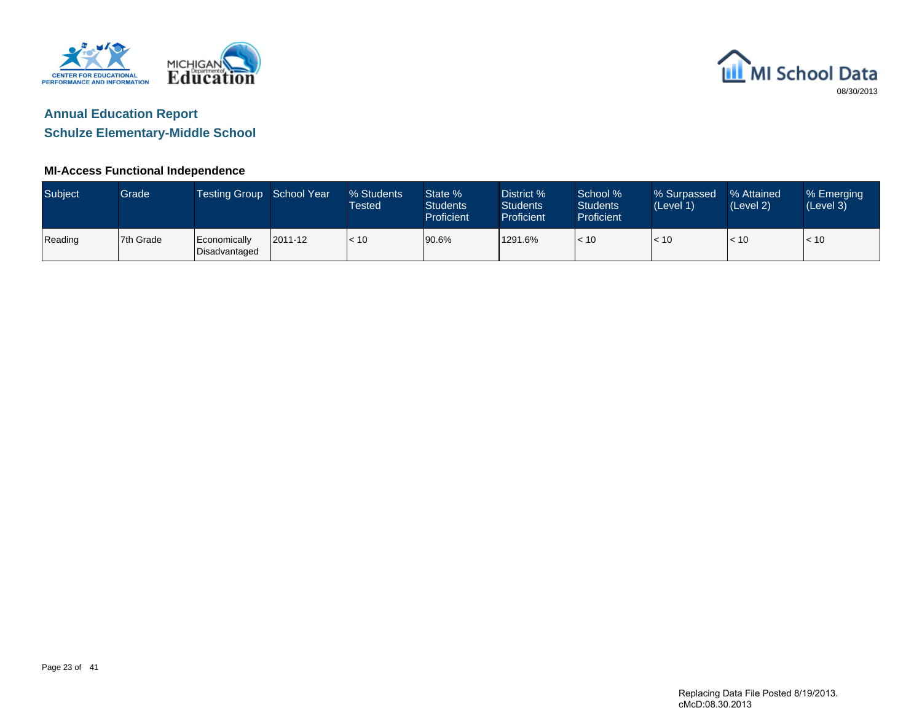



**Schulze Elementary-Middle School**

### **MI-Access Functional Independence**

| Subject | Grade     | Testing Group School Year       |         | % Students<br>Tested | State %<br><b>Students</b><br><b>Proficient</b> | District %<br><b>Students</b><br>Proficient | School %<br><b>Students</b><br><b>Proficient</b> | % Surpassed<br>(Level 1) | % Attained<br>(Level 2) | % Emerging<br>(Level 3) |
|---------|-----------|---------------------------------|---------|----------------------|-------------------------------------------------|---------------------------------------------|--------------------------------------------------|--------------------------|-------------------------|-------------------------|
| Reading | 7th Grade | l Economically<br>Disadvantaged | 2011-12 | < 10                 | 90.6%                                           | 1291.6%                                     | < 10                                             | < 10                     | < 10                    | < 10                    |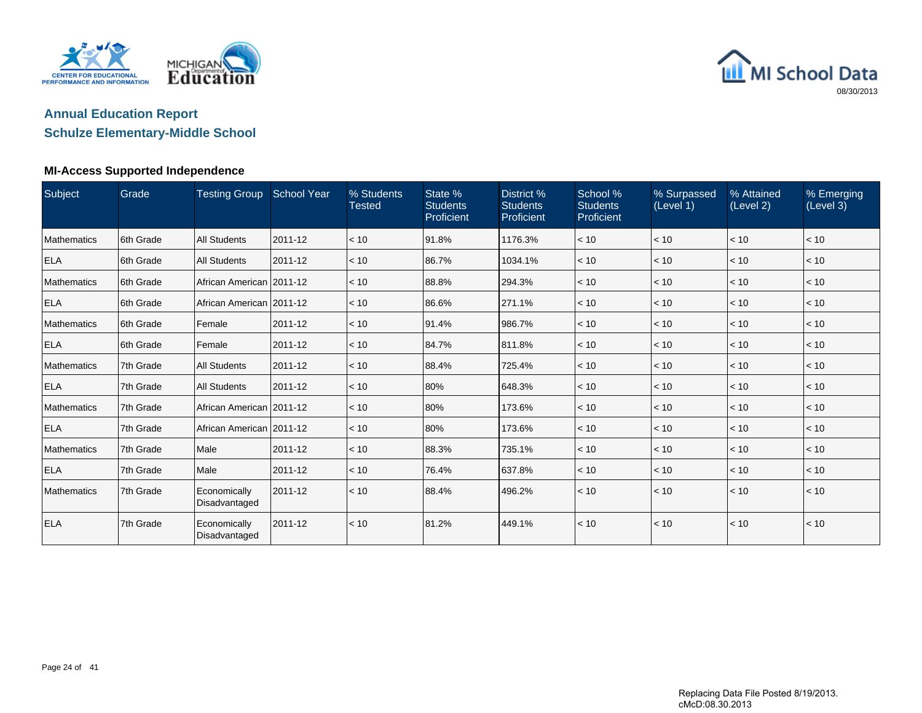



#### **MI-Access Supported Independence**

| Subject            | Grade      | Testing Group School Year     |         | % Students<br><b>Tested</b> | State %<br><b>Students</b><br>Proficient | District %<br><b>Students</b><br>Proficient | School %<br><b>Students</b><br>Proficient | % Surpassed<br>(Level 1) | % Attained<br>(Level 2) | % Emerging<br>(Level 3) |
|--------------------|------------|-------------------------------|---------|-----------------------------|------------------------------------------|---------------------------------------------|-------------------------------------------|--------------------------|-------------------------|-------------------------|
| <b>Mathematics</b> | 6th Grade  | <b>All Students</b>           | 2011-12 | < 10                        | 91.8%                                    | 1176.3%                                     | < 10                                      | < 10                     | < 10                    | < 10                    |
| <b>ELA</b>         | 6th Grade  | <b>All Students</b>           | 2011-12 | < 10                        | 86.7%                                    | 1034.1%                                     | < 10                                      | < 10                     | < 10                    | < 10                    |
| <b>Mathematics</b> | 6th Grade  | African American   2011-12    |         | < 10                        | 88.8%                                    | 294.3%                                      | < 10                                      | < 10                     | < 10                    | < 10                    |
| <b>ELA</b>         | 6th Grade  | African American 2011-12      |         | < 10                        | 86.6%                                    | 271.1%                                      | < 10                                      | < 10                     | < 10                    | < 10                    |
| <b>Mathematics</b> | 6th Grade  | Female                        | 2011-12 | < 10                        | 91.4%                                    | 986.7%                                      | < 10                                      | < 10                     | < 10                    | < 10                    |
| <b>ELA</b>         | 16th Grade | Female                        | 2011-12 | < 10                        | 84.7%                                    | 811.8%                                      | < 10                                      | < 10                     | < 10                    | < 10                    |
| <b>Mathematics</b> | 7th Grade  | <b>All Students</b>           | 2011-12 | < 10                        | 88.4%                                    | 725.4%                                      | < 10                                      | < 10                     | < 10                    | < 10                    |
| <b>ELA</b>         | 7th Grade  | <b>All Students</b>           | 2011-12 | < 10                        | 80%                                      | 648.3%                                      | < 10                                      | < 10                     | < 10                    | < 10                    |
| <b>Mathematics</b> | 7th Grade  | African American 2011-12      |         | < 10                        | 80%                                      | 173.6%                                      | < 10                                      | < 10                     | < 10                    | < 10                    |
| <b>ELA</b>         | 7th Grade  | African American 2011-12      |         | < 10                        | 80%                                      | 173.6%                                      | < 10                                      | < 10                     | < 10                    | < 10                    |
| <b>Mathematics</b> | 7th Grade  | Male                          | 2011-12 | < 10                        | 88.3%                                    | 735.1%                                      | < 10                                      | < 10                     | < 10                    | < 10                    |
| <b>ELA</b>         | 7th Grade  | Male                          | 2011-12 | < 10                        | 76.4%                                    | 637.8%                                      | < 10                                      | < 10                     | < 10                    | < 10                    |
| <b>Mathematics</b> | 7th Grade  | Economically<br>Disadvantaged | 2011-12 | < 10                        | 88.4%                                    | 496.2%                                      | < 10                                      | < 10                     | < 10                    | < 10                    |
| <b>ELA</b>         | 7th Grade  | Economically<br>Disadvantaged | 2011-12 | < 10                        | 81.2%                                    | 449.1%                                      | < 10                                      | < 10                     | < 10                    | < 10                    |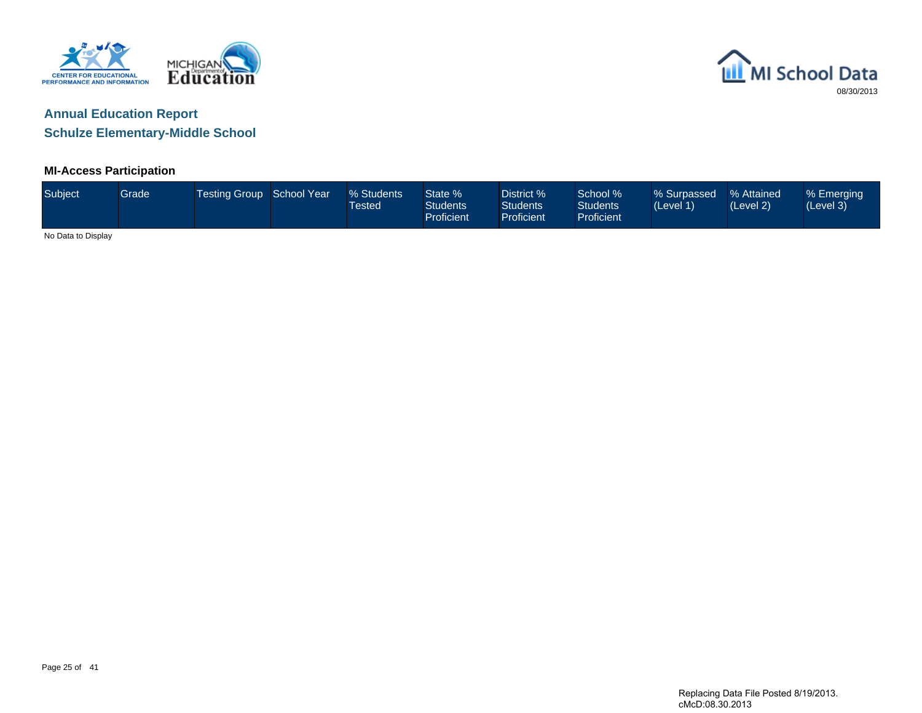



### **MI-Access Participation**

| Subject            | Grade | Testing Group School Year | % Students<br>Tested | State %<br><b>Students</b><br><b>Proficient</b> | District %<br><b>Students</b><br><b>Proficient</b> | School %<br>Students <sup>1</sup><br>Proficient | % Surpassed % Attained<br>(Level 1) | (Level 2) | % Emerging<br>(Level 3) |
|--------------------|-------|---------------------------|----------------------|-------------------------------------------------|----------------------------------------------------|-------------------------------------------------|-------------------------------------|-----------|-------------------------|
| No Data to Display |       |                           |                      |                                                 |                                                    |                                                 |                                     |           |                         |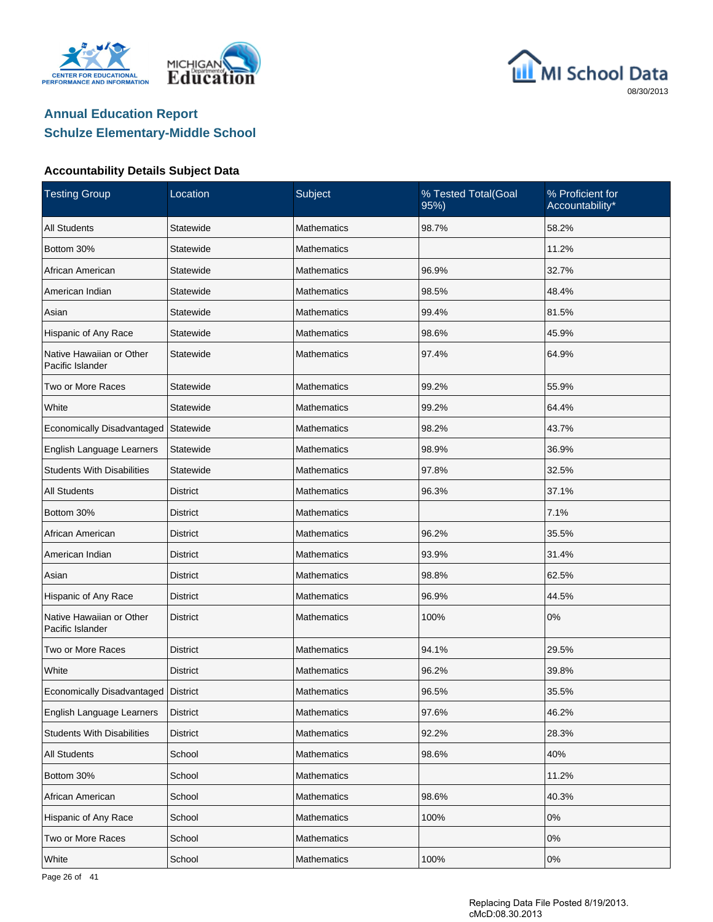





| <b>Testing Group</b>                         | Location        | Subject            | % Tested Total(Goal<br>95%) | % Proficient for<br>Accountability* |
|----------------------------------------------|-----------------|--------------------|-----------------------------|-------------------------------------|
| <b>All Students</b>                          | Statewide       | <b>Mathematics</b> | 98.7%                       | 58.2%                               |
| Bottom 30%                                   | Statewide       | <b>Mathematics</b> |                             | 11.2%                               |
| African American                             | Statewide       | <b>Mathematics</b> | 96.9%                       | 32.7%                               |
| American Indian                              | Statewide       | <b>Mathematics</b> | 98.5%                       | 48.4%                               |
| Asian                                        | Statewide       | <b>Mathematics</b> | 99.4%                       | 81.5%                               |
| Hispanic of Any Race                         | Statewide       | <b>Mathematics</b> | 98.6%                       | 45.9%                               |
| Native Hawaiian or Other<br>Pacific Islander | Statewide       | <b>Mathematics</b> | 97.4%                       | 64.9%                               |
| Two or More Races                            | Statewide       | <b>Mathematics</b> | 99.2%                       | 55.9%                               |
| White                                        | Statewide       | <b>Mathematics</b> | 99.2%                       | 64.4%                               |
| Economically Disadvantaged                   | Statewide       | <b>Mathematics</b> | 98.2%                       | 43.7%                               |
| English Language Learners                    | Statewide       | <b>Mathematics</b> | 98.9%                       | 36.9%                               |
| <b>Students With Disabilities</b>            | Statewide       | <b>Mathematics</b> | 97.8%                       | 32.5%                               |
| <b>All Students</b>                          | <b>District</b> | Mathematics        | 96.3%                       | 37.1%                               |
| Bottom 30%                                   | <b>District</b> | <b>Mathematics</b> |                             | 7.1%                                |
| African American                             | <b>District</b> | <b>Mathematics</b> | 96.2%                       | 35.5%                               |
| American Indian                              | District        | <b>Mathematics</b> | 93.9%                       | 31.4%                               |
| Asian                                        | <b>District</b> | Mathematics        | 98.8%                       | 62.5%                               |
| Hispanic of Any Race                         | <b>District</b> | <b>Mathematics</b> | 96.9%                       | 44.5%                               |
| Native Hawaiian or Other<br>Pacific Islander | <b>District</b> | <b>Mathematics</b> | 100%                        | 0%                                  |
| Two or More Races                            | <b>District</b> | Mathematics        | 94.1%                       | 29.5%                               |
| White                                        | <b>District</b> | Mathematics        | 96.2%                       | 39.8%                               |
| Economically Disadvantaged   District        |                 | Mathematics        | 96.5%                       | 35.5%                               |
| English Language Learners                    | <b>District</b> | Mathematics        | 97.6%                       | 46.2%                               |
| <b>Students With Disabilities</b>            | District        | Mathematics        | 92.2%                       | 28.3%                               |
| All Students                                 | School          | Mathematics        | 98.6%                       | 40%                                 |
| Bottom 30%                                   | School          | Mathematics        |                             | 11.2%                               |
| African American                             | School          | Mathematics        | 98.6%                       | 40.3%                               |
| Hispanic of Any Race                         | School          | Mathematics        | 100%                        | $0\%$                               |
| Two or More Races                            | School          | Mathematics        |                             | 0%                                  |
| White                                        | School          | Mathematics        | 100%                        | $0\%$                               |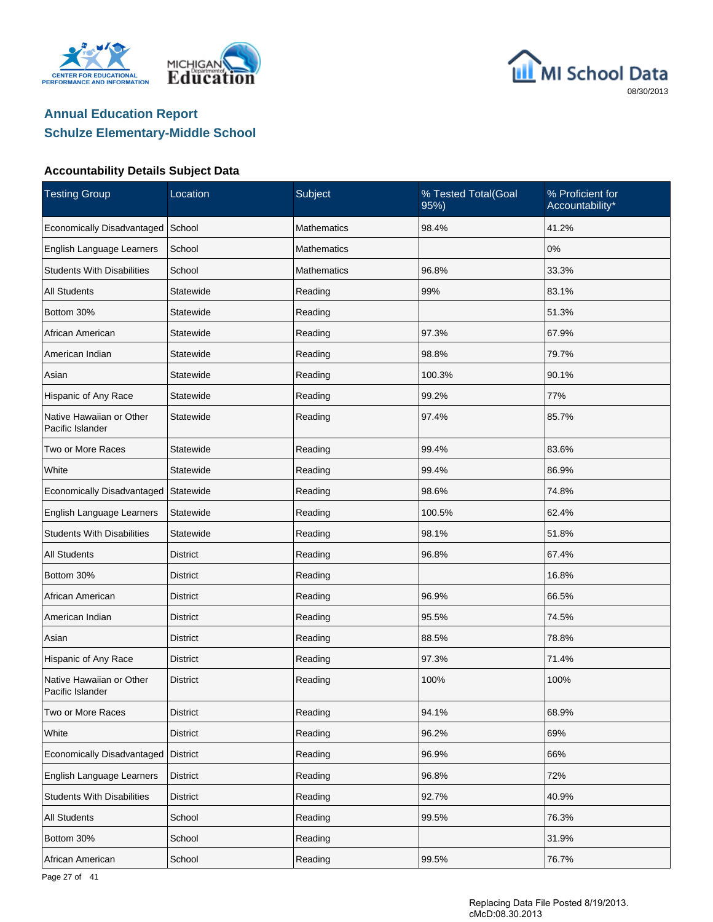





### **Accountability Details Subject Data**

| <b>Testing Group</b>                         | Location        | Subject            | % Tested Total(Goal<br>95%) | % Proficient for<br>Accountability* |
|----------------------------------------------|-----------------|--------------------|-----------------------------|-------------------------------------|
| Economically Disadvantaged                   | School          | <b>Mathematics</b> | 98.4%                       | 41.2%                               |
| English Language Learners                    | School          | <b>Mathematics</b> |                             | 0%                                  |
| <b>Students With Disabilities</b>            | School          | <b>Mathematics</b> | 96.8%                       | 33.3%                               |
| All Students                                 | Statewide       | Reading            | 99%                         | 83.1%                               |
| Bottom 30%                                   | Statewide       | Reading            |                             | 51.3%                               |
| African American                             | Statewide       | Reading            | 97.3%                       | 67.9%                               |
| American Indian                              | Statewide       | Reading            | 98.8%                       | 79.7%                               |
| Asian                                        | Statewide       | Reading            | 100.3%                      | 90.1%                               |
| Hispanic of Any Race                         | Statewide       | Reading            | 99.2%                       | 77%                                 |
| Native Hawaiian or Other<br>Pacific Islander | Statewide       | Reading            | 97.4%                       | 85.7%                               |
| Two or More Races                            | Statewide       | Reading            | 99.4%                       | 83.6%                               |
| White                                        | Statewide       | Reading            | 99.4%                       | 86.9%                               |
| Economically Disadvantaged                   | Statewide       | Reading            | 98.6%                       | 74.8%                               |
| English Language Learners                    | Statewide       | Reading            | 100.5%                      | 62.4%                               |
| <b>Students With Disabilities</b>            | Statewide       | Reading            | 98.1%                       | 51.8%                               |
| <b>All Students</b>                          | District        | Reading            | 96.8%                       | 67.4%                               |
| Bottom 30%                                   | District        | Reading            |                             | 16.8%                               |
| African American                             | District        | Reading            | 96.9%                       | 66.5%                               |
| American Indian                              | <b>District</b> | Reading            | 95.5%                       | 74.5%                               |
| Asian                                        | District        | Reading            | 88.5%                       | 78.8%                               |
| Hispanic of Any Race                         | <b>District</b> | Reading            | 97.3%                       | 71.4%                               |
| Native Hawaiian or Other<br>Pacific Islander | District        | Reading            | 100%                        | 100%                                |
| Two or More Races                            | <b>District</b> | Reading            | 94.1%                       | 68.9%                               |
| White                                        | District        | Reading            | 96.2%                       | 69%                                 |
| Economically Disadvantaged                   | <b>District</b> | Reading            | 96.9%                       | 66%                                 |
| English Language Learners                    | <b>District</b> | Reading            | 96.8%                       | 72%                                 |
| <b>Students With Disabilities</b>            | <b>District</b> | Reading            | 92.7%                       | 40.9%                               |
| <b>All Students</b>                          | School          | Reading            | 99.5%                       | 76.3%                               |
| Bottom 30%                                   | School          | Reading            |                             | 31.9%                               |
| African American                             | School          | Reading            | 99.5%                       | 76.7%                               |

Page 27 of 41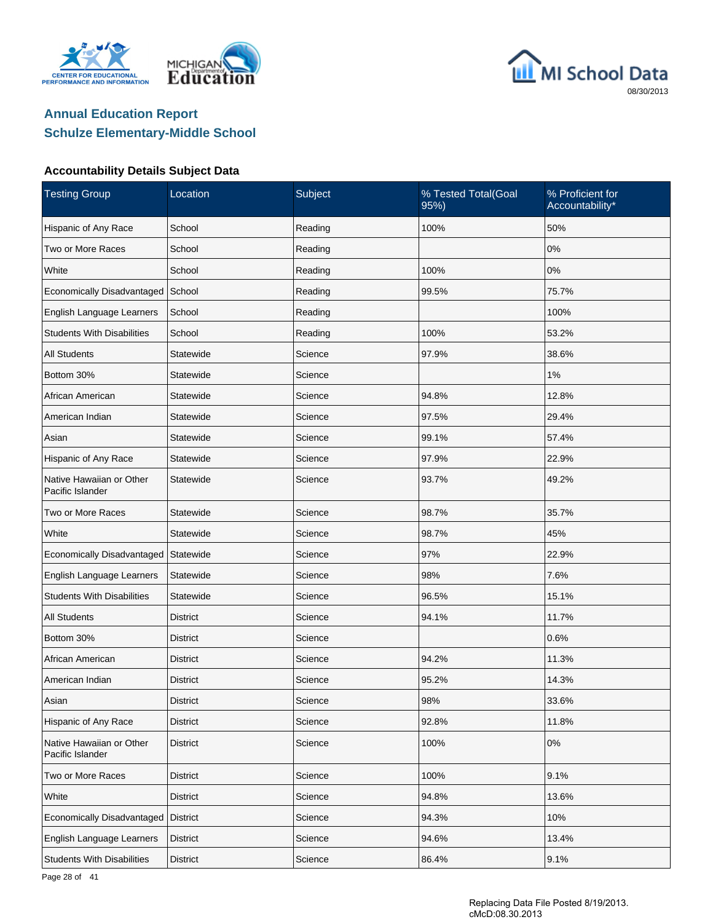





| <b>Testing Group</b>                         | Location        | Subject | % Tested Total(Goal<br>95%) | % Proficient for<br>Accountability* |
|----------------------------------------------|-----------------|---------|-----------------------------|-------------------------------------|
| Hispanic of Any Race                         | School          | Reading | 100%                        | 50%                                 |
| Two or More Races                            | School          | Reading |                             | $0\%$                               |
| White                                        | School          | Reading | 100%                        | 0%                                  |
| Economically Disadvantaged                   | School          | Reading | 99.5%                       | 75.7%                               |
| English Language Learners                    | School          | Reading |                             | 100%                                |
| <b>Students With Disabilities</b>            | School          | Reading | 100%                        | 53.2%                               |
| <b>All Students</b>                          | Statewide       | Science | 97.9%                       | 38.6%                               |
| Bottom 30%                                   | Statewide       | Science |                             | $1\%$                               |
| African American                             | Statewide       | Science | 94.8%                       | 12.8%                               |
| American Indian                              | Statewide       | Science | 97.5%                       | 29.4%                               |
| Asian                                        | Statewide       | Science | 99.1%                       | 57.4%                               |
| Hispanic of Any Race                         | Statewide       | Science | 97.9%                       | 22.9%                               |
| Native Hawaiian or Other<br>Pacific Islander | Statewide       | Science | 93.7%                       | 49.2%                               |
| Two or More Races                            | Statewide       | Science | 98.7%                       | 35.7%                               |
| White                                        | Statewide       | Science | 98.7%                       | 45%                                 |
| Economically Disadvantaged   Statewide       |                 | Science | 97%                         | 22.9%                               |
| English Language Learners                    | Statewide       | Science | 98%                         | 7.6%                                |
| <b>Students With Disabilities</b>            | Statewide       | Science | 96.5%                       | 15.1%                               |
| <b>All Students</b>                          | District        | Science | 94.1%                       | 11.7%                               |
| Bottom 30%                                   | District        | Science |                             | 0.6%                                |
| African American                             | District        | Science | 94.2%                       | 11.3%                               |
| American Indian                              | District        | Science | 95.2%                       | 14.3%                               |
| Asian                                        | <b>District</b> | Science | 98%                         | 33.6%                               |
| Hispanic of Any Race                         | <b>District</b> | Science | 92.8%                       | 11.8%                               |
| Native Hawaiian or Other<br>Pacific Islander | <b>District</b> | Science | 100%                        | $0\%$                               |
| Two or More Races                            | <b>District</b> | Science | 100%                        | 9.1%                                |
| White                                        | <b>District</b> | Science | 94.8%                       | 13.6%                               |
| Economically Disadvantaged                   | <b>District</b> | Science | 94.3%                       | 10%                                 |
| English Language Learners                    | <b>District</b> | Science | 94.6%                       | 13.4%                               |
| <b>Students With Disabilities</b>            | <b>District</b> | Science | 86.4%                       | 9.1%                                |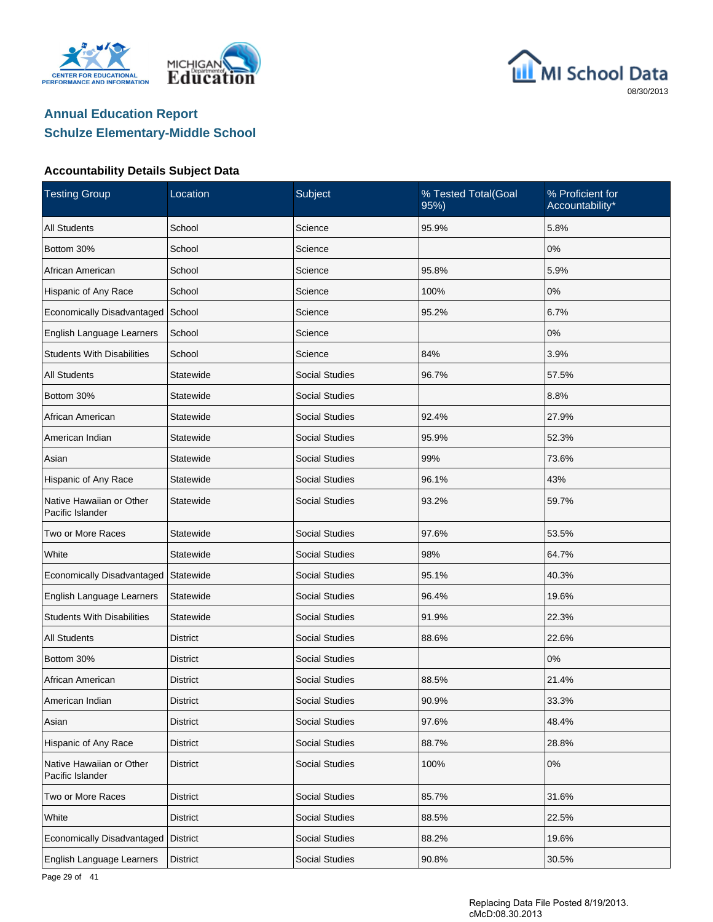





| <b>Testing Group</b>                         | Location        | Subject               | % Tested Total(Goal<br>95%) | % Proficient for<br>Accountability* |
|----------------------------------------------|-----------------|-----------------------|-----------------------------|-------------------------------------|
| <b>All Students</b>                          | School          | Science               | 95.9%                       | 5.8%                                |
| Bottom 30%                                   | School          | Science               |                             | 0%                                  |
| African American                             | School          | Science               | 95.8%                       | 5.9%                                |
| Hispanic of Any Race                         | School          | Science               | 100%                        | 0%                                  |
| Economically Disadvantaged                   | School          | Science               | 95.2%                       | 6.7%                                |
| English Language Learners                    | School          | Science               |                             | 0%                                  |
| <b>Students With Disabilities</b>            | School          | Science               | 84%                         | 3.9%                                |
| <b>All Students</b>                          | Statewide       | <b>Social Studies</b> | 96.7%                       | 57.5%                               |
| Bottom 30%                                   | Statewide       | <b>Social Studies</b> |                             | 8.8%                                |
| African American                             | Statewide       | <b>Social Studies</b> | 92.4%                       | 27.9%                               |
| American Indian                              | Statewide       | <b>Social Studies</b> | 95.9%                       | 52.3%                               |
| Asian                                        | Statewide       | <b>Social Studies</b> | 99%                         | 73.6%                               |
| Hispanic of Any Race                         | Statewide       | <b>Social Studies</b> | 96.1%                       | 43%                                 |
| Native Hawaiian or Other<br>Pacific Islander | Statewide       | <b>Social Studies</b> | 93.2%                       | 59.7%                               |
| Two or More Races                            | Statewide       | <b>Social Studies</b> | 97.6%                       | 53.5%                               |
| White                                        | Statewide       | <b>Social Studies</b> | 98%                         | 64.7%                               |
| Economically Disadvantaged                   | Statewide       | <b>Social Studies</b> | 95.1%                       | 40.3%                               |
| English Language Learners                    | Statewide       | <b>Social Studies</b> | 96.4%                       | 19.6%                               |
| <b>Students With Disabilities</b>            | Statewide       | <b>Social Studies</b> | 91.9%                       | 22.3%                               |
| All Students                                 | District        | <b>Social Studies</b> | 88.6%                       | 22.6%                               |
| Bottom 30%                                   | <b>District</b> | Social Studies        |                             | 0%                                  |
| African American                             | District        | <b>Social Studies</b> | 88.5%                       | 21.4%                               |
| American Indian                              | <b>District</b> | <b>Social Studies</b> | 90.9%                       | 33.3%                               |
| Asian                                        | <b>District</b> | Social Studies        | 97.6%                       | 48.4%                               |
| Hispanic of Any Race                         | <b>District</b> | <b>Social Studies</b> | 88.7%                       | 28.8%                               |
| Native Hawaiian or Other<br>Pacific Islander | <b>District</b> | <b>Social Studies</b> | 100%                        | $0\%$                               |
| Two or More Races                            | <b>District</b> | <b>Social Studies</b> | 85.7%                       | 31.6%                               |
| White                                        | District        | Social Studies        | 88.5%                       | 22.5%                               |
| Economically Disadvantaged                   | <b>District</b> | Social Studies        | 88.2%                       | 19.6%                               |
| English Language Learners                    | District        | Social Studies        | 90.8%                       | 30.5%                               |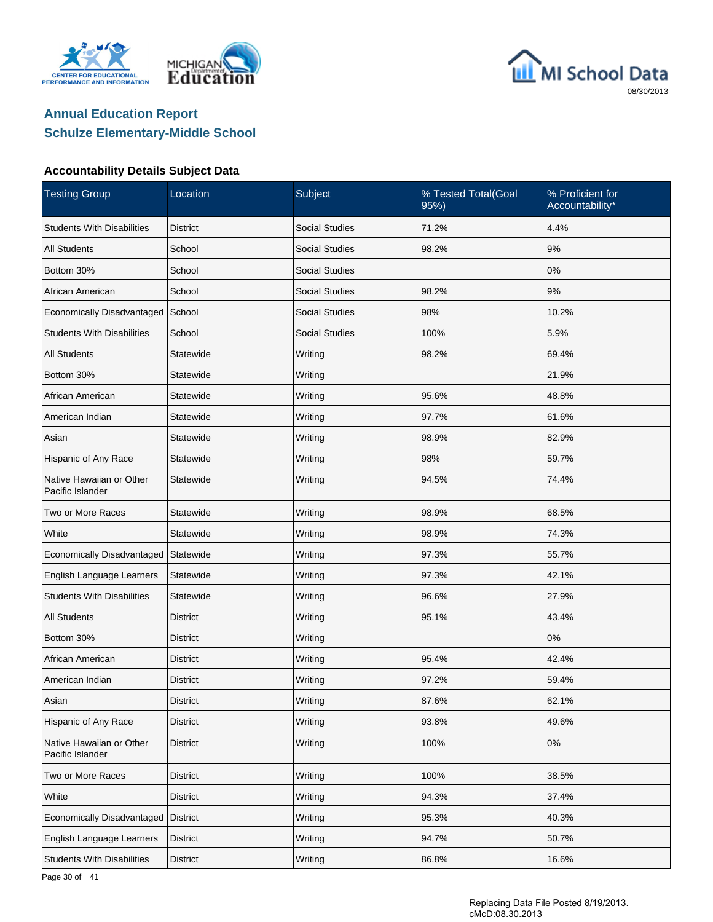





| <b>Testing Group</b>                         | Location        | Subject               | % Tested Total(Goal<br>95%) | % Proficient for<br>Accountability* |
|----------------------------------------------|-----------------|-----------------------|-----------------------------|-------------------------------------|
| <b>Students With Disabilities</b>            | District        | <b>Social Studies</b> | 71.2%                       | 4.4%                                |
| <b>All Students</b>                          | School          | <b>Social Studies</b> | 98.2%                       | $9\%$                               |
| Bottom 30%                                   | School          | <b>Social Studies</b> |                             | $0\%$                               |
| African American                             | School          | <b>Social Studies</b> | 98.2%                       | $9\%$                               |
| Economically Disadvantaged                   | School          | <b>Social Studies</b> | 98%                         | 10.2%                               |
| <b>Students With Disabilities</b>            | School          | <b>Social Studies</b> | 100%                        | 5.9%                                |
| <b>All Students</b>                          | Statewide       | Writing               | 98.2%                       | 69.4%                               |
| Bottom 30%                                   | Statewide       | Writing               |                             | 21.9%                               |
| African American                             | Statewide       | Writing               | 95.6%                       | 48.8%                               |
| American Indian                              | Statewide       | Writing               | 97.7%                       | 61.6%                               |
| Asian                                        | Statewide       | Writing               | 98.9%                       | 82.9%                               |
| Hispanic of Any Race                         | Statewide       | Writing               | 98%                         | 59.7%                               |
| Native Hawaiian or Other<br>Pacific Islander | Statewide       | Writing               | 94.5%                       | 74.4%                               |
| Two or More Races                            | Statewide       | Writing               | 98.9%                       | 68.5%                               |
| White                                        | Statewide       | Writing               | 98.9%                       | 74.3%                               |
| Economically Disadvantaged                   | Statewide       | Writing               | 97.3%                       | 55.7%                               |
| English Language Learners                    | Statewide       | Writing               | 97.3%                       | 42.1%                               |
| <b>Students With Disabilities</b>            | Statewide       | Writing               | 96.6%                       | 27.9%                               |
| <b>All Students</b>                          | District        | Writing               | 95.1%                       | 43.4%                               |
| Bottom 30%                                   | District        | Writing               |                             | 0%                                  |
| African American                             | District        | Writing               | 95.4%                       | 42.4%                               |
| American Indian                              | <b>District</b> | Writing               | 97.2%                       | 59.4%                               |
| Asian                                        | <b>District</b> | Writing               | 87.6%                       | 62.1%                               |
| Hispanic of Any Race                         | <b>District</b> | Writing               | 93.8%                       | 49.6%                               |
| Native Hawaiian or Other<br>Pacific Islander | <b>District</b> | Writing               | 100%                        | $0\%$                               |
| Two or More Races                            | <b>District</b> | Writing               | 100%                        | 38.5%                               |
| White                                        | <b>District</b> | Writing               | 94.3%                       | 37.4%                               |
| Economically Disadvantaged                   | <b>District</b> | Writing               | 95.3%                       | 40.3%                               |
| English Language Learners                    | <b>District</b> | Writing               | 94.7%                       | 50.7%                               |
| <b>Students With Disabilities</b>            | District        | Writing               | 86.8%                       | 16.6%                               |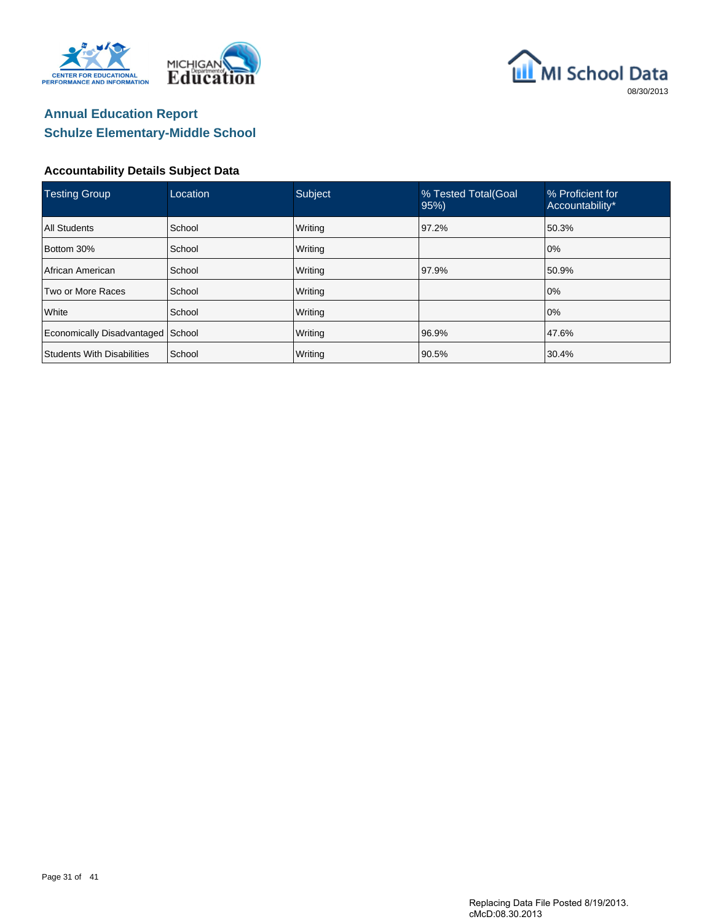





| <b>Testing Group</b>              | Location      | Subject | % Tested Total(Goal<br>95% | % Proficient for<br>Accountability* |
|-----------------------------------|---------------|---------|----------------------------|-------------------------------------|
| <b>All Students</b>               | School        | Writing | 97.2%                      | 50.3%                               |
| Bottom 30%                        | School        | Writing |                            | 10%                                 |
| African American                  | School        | Writing | 97.9%                      | 50.9%                               |
| Two or More Races                 | <b>School</b> | Writing |                            | 0%                                  |
| White                             | School        | Writing |                            | 0%                                  |
| Economically Disadvantaged School |               | Writing | 96.9%                      | 47.6%                               |
| Students With Disabilities        | School        | Writing | 90.5%                      | 30.4%                               |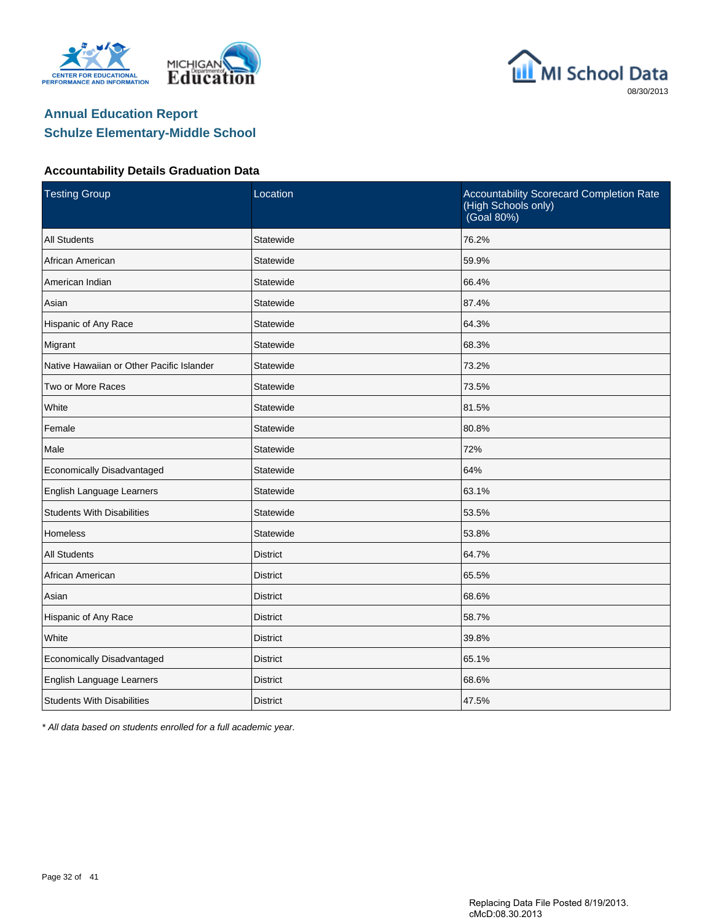





#### **Accountability Details Graduation Data**

| <b>Testing Group</b>                      | Location        | Accountability Scorecard Completion Rate<br>(High Schools only)<br>(Goal 80%) |
|-------------------------------------------|-----------------|-------------------------------------------------------------------------------|
| <b>All Students</b>                       | Statewide       | 76.2%                                                                         |
| African American                          | Statewide       | 59.9%                                                                         |
| American Indian                           | Statewide       | 66.4%                                                                         |
| Asian                                     | Statewide       | 87.4%                                                                         |
| Hispanic of Any Race                      | Statewide       | 64.3%                                                                         |
| Migrant                                   | Statewide       | 68.3%                                                                         |
| Native Hawaiian or Other Pacific Islander | Statewide       | 73.2%                                                                         |
| Two or More Races                         | Statewide       | 73.5%                                                                         |
| White                                     | Statewide       | 81.5%                                                                         |
| Female                                    | Statewide       | 80.8%                                                                         |
| Male                                      | Statewide       | 72%                                                                           |
| Economically Disadvantaged                | Statewide       | 64%                                                                           |
| English Language Learners                 | Statewide       | 63.1%                                                                         |
| <b>Students With Disabilities</b>         | Statewide       | 53.5%                                                                         |
| <b>Homeless</b>                           | Statewide       | 53.8%                                                                         |
| <b>All Students</b>                       | <b>District</b> | 64.7%                                                                         |
| African American                          | <b>District</b> | 65.5%                                                                         |
| Asian                                     | <b>District</b> | 68.6%                                                                         |
| Hispanic of Any Race                      | <b>District</b> | 58.7%                                                                         |
| White                                     | <b>District</b> | 39.8%                                                                         |
| Economically Disadvantaged                | <b>District</b> | 65.1%                                                                         |
| English Language Learners                 | <b>District</b> | 68.6%                                                                         |
| <b>Students With Disabilities</b>         | <b>District</b> | 47.5%                                                                         |

\* All data based on students enrolled for a full academic year.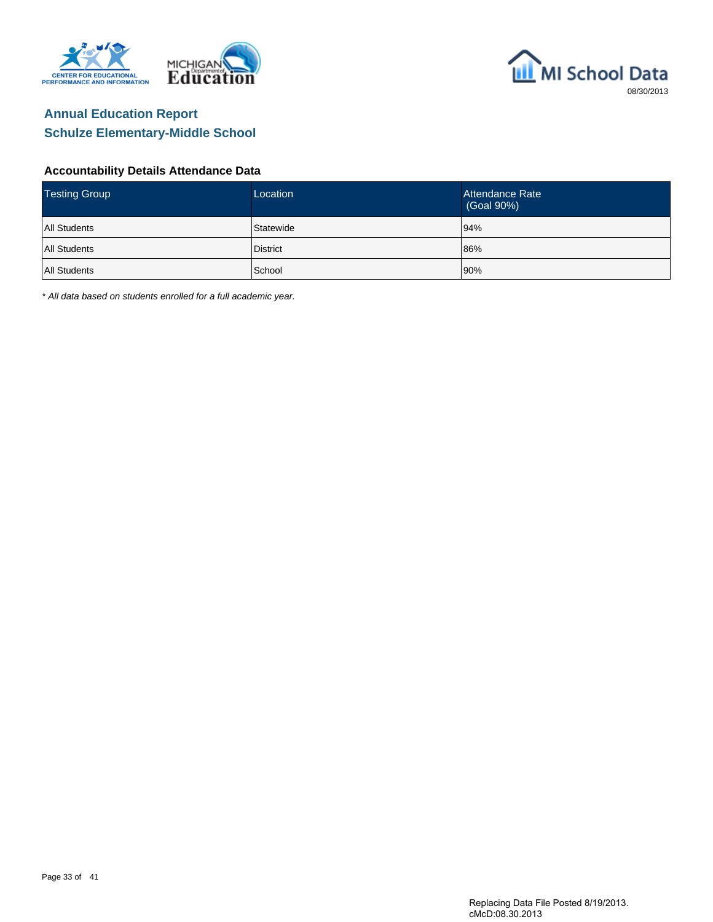



#### **Accountability Details Attendance Data**

| <b>Testing Group</b> | Location        | Attendance Rate<br>(Goal 90%) |
|----------------------|-----------------|-------------------------------|
| <b>All Students</b>  | Statewide       | 94%                           |
| All Students         | <b>District</b> | 86%                           |
| All Students         | School          | 90%                           |

\* All data based on students enrolled for a full academic year.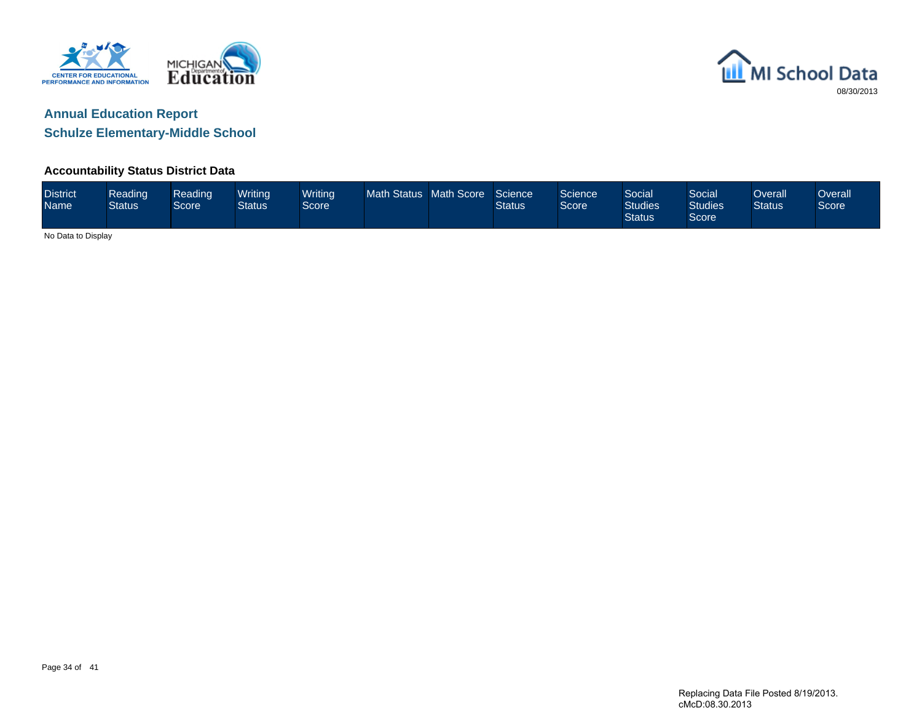



**Schulze Elementary-Middle School**

### **Accountability Status District Data**

| <b>District</b><br><b>Name</b> | Reading<br><b>Status</b> | Reading<br><b>Score</b> | Writing<br><b>Status</b> | Writing<br>Score | Math Status Math Score | Science<br><b>Status</b> | Science<br>Score | <b>Social</b><br><b>Studies</b><br><b>Status</b> | Social<br><b>Studies</b><br>Score | <b>Dverall</b><br><b>Status</b> | Overall<br>Score |
|--------------------------------|--------------------------|-------------------------|--------------------------|------------------|------------------------|--------------------------|------------------|--------------------------------------------------|-----------------------------------|---------------------------------|------------------|
| No Data to Display             |                          |                         |                          |                  |                        |                          |                  |                                                  |                                   |                                 |                  |

Page 34 of 41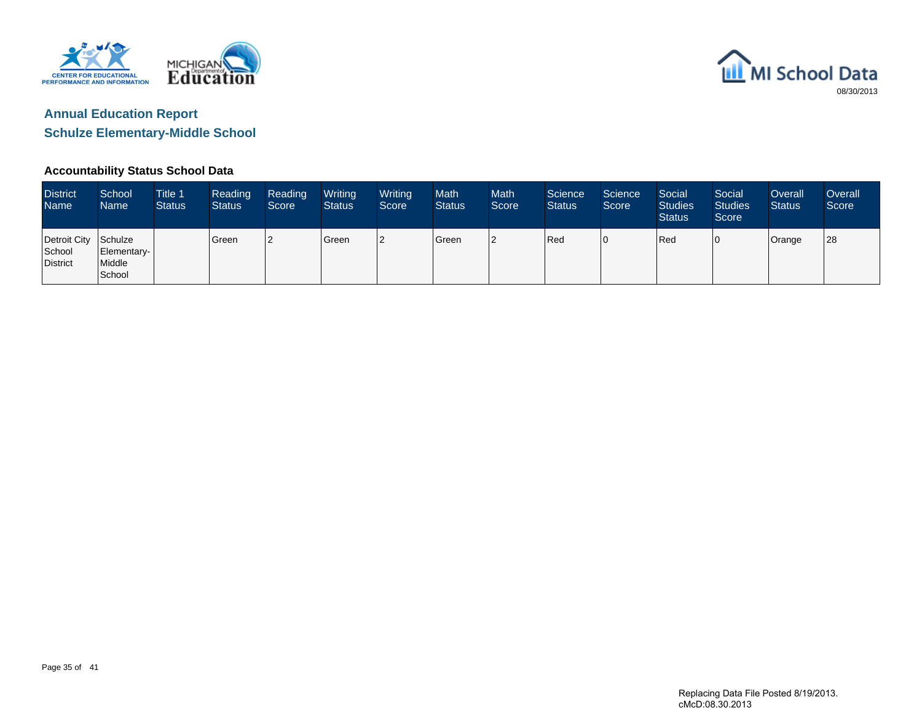



#### **Accountability Status School Data**

| <b>District</b><br>Name <sup>1</sup>       | School<br>Name <sup>1</sup>     | Title 1<br><b>Status</b> | Reading<br><b>Status</b> | Reading<br>Score | Writing<br><b>Status</b> | Writing<br>Score | <b>Math</b><br><b>Status</b> | <b>Math</b><br>Score <sup>1</sup> | Science<br><b>Status</b> | Science<br>Score | Social<br><b>Studies</b><br><b>Status</b> | Social<br><b>Studies</b><br>Score | Overall<br><b>Status</b> | Overall<br>Score |
|--------------------------------------------|---------------------------------|--------------------------|--------------------------|------------------|--------------------------|------------------|------------------------------|-----------------------------------|--------------------------|------------------|-------------------------------------------|-----------------------------------|--------------------------|------------------|
| Detroit City Schulze<br>School<br>District | Elementary-<br>Middle<br>School |                          | <b>I</b> Green           | 12               | Green                    | <sup>2</sup>     | Green                        | l2                                | Red                      | 10               | Red                                       | 0                                 | Orange                   | 28               |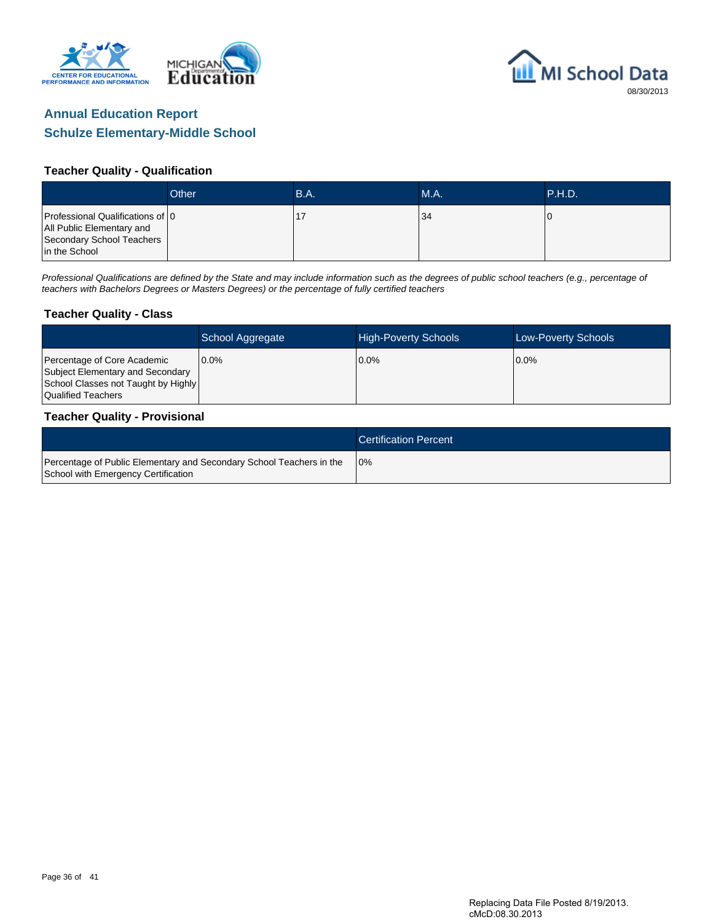



#### **Teacher Quality - Qualification**

|                                                                                                             | Other | B.A. | MA. | <b>P.H.D.</b> |
|-------------------------------------------------------------------------------------------------------------|-------|------|-----|---------------|
| Professional Qualifications of 0<br>All Public Elementary and<br>Secondary School Teachers<br>in the School |       |      | 34  |               |

Professional Qualifications are defined by the State and may include information such as the degrees of public school teachers (e.g., percentage of teachers with Bachelors Degrees or Masters Degrees) or the percentage of fully certified teachers

#### **Teacher Quality - Class**

|                                                                                                                              | School Aggregate | <b>High-Poverty Schools</b> | Low-Poverty Schools |
|------------------------------------------------------------------------------------------------------------------------------|------------------|-----------------------------|---------------------|
| Percentage of Core Academic<br>Subject Elementary and Secondary<br>School Classes not Taught by Highly<br>Qualified Teachers | $0.0\%$          | $0.0\%$                     | $0.0\%$             |

#### **Teacher Quality - Provisional**

|                                                                                                             | <b>Certification Percent</b> |
|-------------------------------------------------------------------------------------------------------------|------------------------------|
| Percentage of Public Elementary and Secondary School Teachers in the<br>School with Emergency Certification | 10%                          |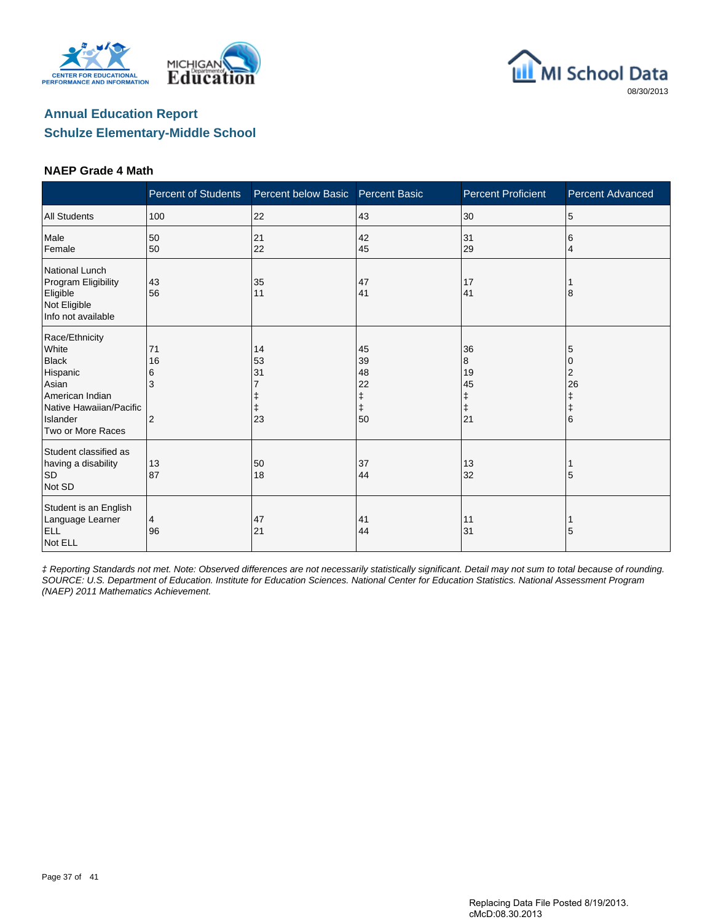





#### **NAEP Grade 4 Math**

|                                                                                                                                             | <b>Percent of Students</b> | Percent below Basic  | <b>Percent Basic</b>                          | <b>Percent Proficient</b>                    | <b>Percent Advanced</b>              |
|---------------------------------------------------------------------------------------------------------------------------------------------|----------------------------|----------------------|-----------------------------------------------|----------------------------------------------|--------------------------------------|
| <b>All Students</b>                                                                                                                         | 100                        | 22                   | 43                                            | 30                                           | 5                                    |
| Male<br>Female                                                                                                                              | 50<br>50                   | 21<br>22             | 42<br>45                                      | 31<br>29                                     | 6<br>4                               |
| National Lunch<br>Program Eligibility<br>Eligible<br>Not Eligible<br>Info not available                                                     | 43<br>56                   | 35<br>11             | 47<br>41                                      | 17<br>41                                     | 8                                    |
| Race/Ethnicity<br>White<br><b>Black</b><br>Hispanic<br>Asian<br>American Indian<br>Native Hawaiian/Pacific<br>Islander<br>Two or More Races | 71<br>16<br>6<br>3<br>2    | 14<br>53<br>31<br>23 | 45<br>39<br>48<br>22<br>ŧ<br>$\ddagger$<br>50 | 36<br>8<br>19<br>45<br>ŧ<br>$\ddagger$<br>21 | 5<br>0<br>2<br>26<br>$\ddagger$<br>6 |
| Student classified as<br>having a disability<br>SD<br>Not SD                                                                                | 13<br>87                   | 50<br>18             | 37<br>44                                      | 13<br>32                                     | 5                                    |
| Student is an English<br>Language Learner<br><b>ELL</b><br>Not ELL                                                                          | 4<br>96                    | 47<br>21             | 41<br>44                                      | 11<br>31                                     | 5                                    |

‡ Reporting Standards not met. Note: Observed differences are not necessarily statistically significant. Detail may not sum to total because of rounding. SOURCE: U.S. Department of Education. Institute for Education Sciences. National Center for Education Statistics. National Assessment Program (NAEP) 2011 Mathematics Achievement.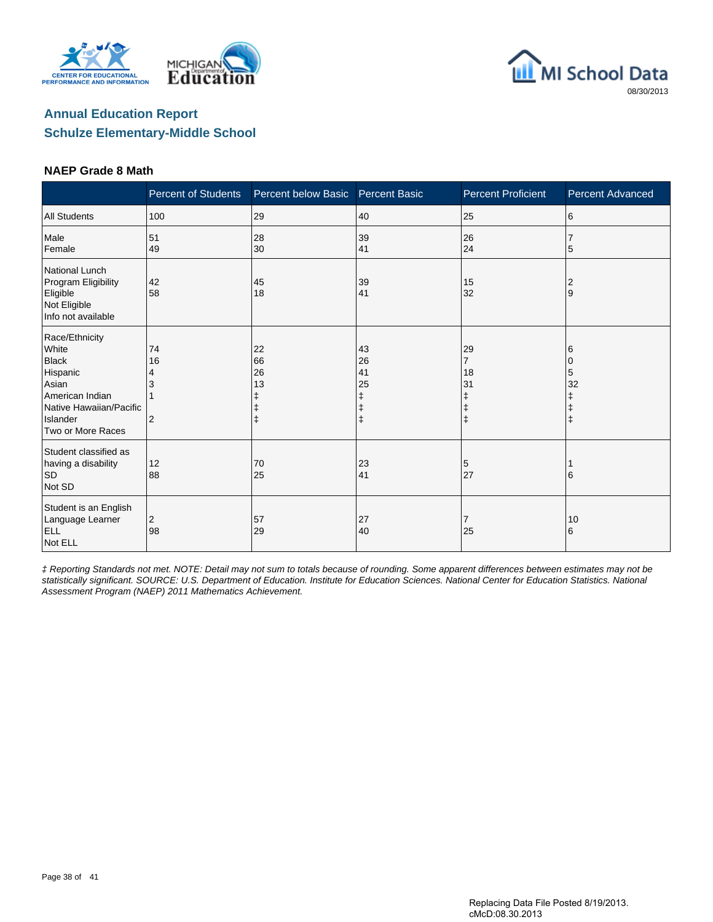





#### **NAEP Grade 8 Math**

|                                                                                                                                             | <b>Percent of Students</b> | Percent below Basic       | <b>Percent Basic</b>      | <b>Percent Proficient</b>             | <b>Percent Advanced</b>         |
|---------------------------------------------------------------------------------------------------------------------------------------------|----------------------------|---------------------------|---------------------------|---------------------------------------|---------------------------------|
| <b>All Students</b>                                                                                                                         | 100                        | 29                        | 40                        | 25                                    | 6                               |
| Male<br>Female                                                                                                                              | 51<br>49                   | 28<br>30                  | 39<br>41                  | 26<br>24                              | 5                               |
| National Lunch<br>Program Eligibility<br>Eligible<br>Not Eligible<br>Info not available                                                     | 42<br>58                   | 45<br>18                  | 39<br>41                  | 15<br>32                              | 2<br>9                          |
| Race/Ethnicity<br>White<br><b>Black</b><br>Hispanic<br>Asian<br>American Indian<br>Native Hawaiian/Pacific<br>Islander<br>Two or More Races | 74<br>16<br>2              | 22<br>66<br>26<br>13<br>ŧ | 43<br>26<br>41<br>25<br>ŧ | 29<br>$\overline{7}$<br>18<br>31<br>ŧ | 6<br>0<br>5<br>32<br>$\ddagger$ |
| Student classified as<br>having a disability<br>$\mathsf{SD}$<br>Not SD                                                                     | 12<br>88                   | 70<br>25                  | 23<br>41                  | 5<br>27                               | 6                               |
| Student is an English<br>Language Learner<br><b>ELL</b><br>Not ELL                                                                          | $\overline{2}$<br>98       | 57<br>29                  | 27<br>40                  | 25                                    | 10<br>6                         |

‡ Reporting Standards not met. NOTE: Detail may not sum to totals because of rounding. Some apparent differences between estimates may not be statistically significant. SOURCE: U.S. Department of Education. Institute for Education Sciences. National Center for Education Statistics. National Assessment Program (NAEP) 2011 Mathematics Achievement.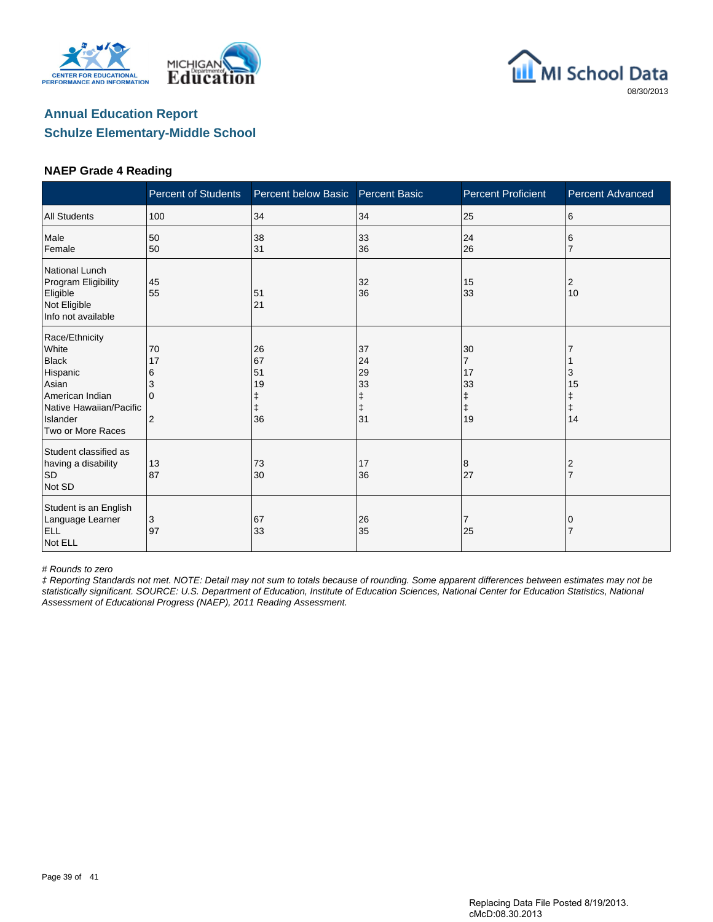





#### **NAEP Grade 4 Reading**

|                                                                                                                                             | <b>Percent of Students</b>                       | Percent below Basic             | <b>Percent Basic</b>                 | <b>Percent Proficient</b>                                 | Percent Advanced   |
|---------------------------------------------------------------------------------------------------------------------------------------------|--------------------------------------------------|---------------------------------|--------------------------------------|-----------------------------------------------------------|--------------------|
| <b>All Students</b>                                                                                                                         | 100                                              | 34                              | 34                                   | 25                                                        | 6                  |
| Male<br>Female                                                                                                                              | 50<br>50                                         | 38<br>31                        | 33<br>36                             | 24<br>26                                                  | 6<br>7             |
| National Lunch<br>Program Eligibility<br>Eligible<br>Not Eligible<br>Info not available                                                     | 45<br>55                                         | 51<br>21                        | 32<br>36                             | 15<br>33                                                  | 2<br>10            |
| Race/Ethnicity<br>White<br><b>Black</b><br>Hispanic<br>Asian<br>American Indian<br>Native Hawaiian/Pacific<br>Islander<br>Two or More Races | 70<br>17<br>6<br>3<br>$\Omega$<br>$\overline{2}$ | 26<br>67<br>51<br>19<br>ŧ<br>36 | 37<br>24<br>29<br>33<br>ŧ<br>ŧ<br>31 | 30<br>$\overline{7}$<br>17<br>33<br>ŧ<br>$\ddagger$<br>19 | 3<br>15<br>ŧ<br>14 |
| Student classified as<br>having a disability<br><b>SD</b><br>Not SD                                                                         | 13<br>87                                         | 73<br>30                        | 17<br>36                             | 8<br>27                                                   | $\overline{2}$     |
| Student is an English<br>Language Learner<br><b>ELL</b><br>Not ELL                                                                          | 3<br>97                                          | 67<br>33                        | 26<br>35                             | 7<br>25                                                   | 0                  |

# Rounds to zero

‡ Reporting Standards not met. NOTE: Detail may not sum to totals because of rounding. Some apparent differences between estimates may not be statistically significant. SOURCE: U.S. Department of Education, Institute of Education Sciences, National Center for Education Statistics, National Assessment of Educational Progress (NAEP), 2011 Reading Assessment.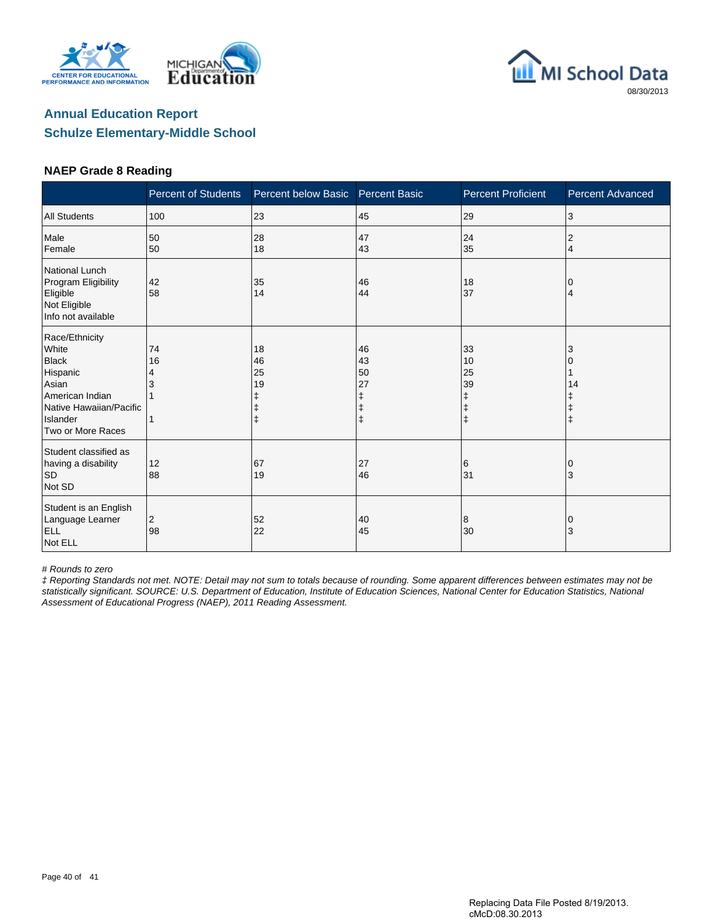





#### **NAEP Grade 8 Reading**

|                                                                                                                                             | <b>Percent of Students</b> | Percent below Basic  | <b>Percent Basic</b>           | <b>Percent Proficient</b>                    | Percent Advanced      |
|---------------------------------------------------------------------------------------------------------------------------------------------|----------------------------|----------------------|--------------------------------|----------------------------------------------|-----------------------|
| <b>All Students</b>                                                                                                                         | 100                        | 23                   | 45                             | 29                                           | 3                     |
| Male<br>Female                                                                                                                              | 50<br>50                   | 28<br>18             | 47<br>43                       | 24<br>35                                     | 2<br>4                |
| National Lunch<br>Program Eligibility<br>Eligible<br>Not Eligible<br>Info not available                                                     | 42<br>58                   | 35<br>14             | 46<br>44                       | 18<br>37                                     | 0<br>4                |
| Race/Ethnicity<br>White<br><b>Black</b><br>Hispanic<br>Asian<br>American Indian<br>Native Hawaiian/Pacific<br>Islander<br>Two or More Races | 74<br>16<br>4              | 18<br>46<br>25<br>19 | 46<br>43<br>50<br>27<br>ŧ<br>ŧ | 33<br>10<br>25<br>39<br>ŧ<br>ŧ<br>$\ddagger$ | 3<br>14<br>$\ddagger$ |
| Student classified as<br>having a disability<br><b>SD</b><br>Not SD                                                                         | 12<br>88                   | 67<br>19             | 27<br>46                       | 6<br>31                                      | $\Omega$<br>3         |
| Student is an English<br>Language Learner<br><b>ELL</b><br>Not ELL                                                                          | 2<br>98                    | 52<br>22             | 40<br>45                       | 8<br>30                                      | 0<br>3                |

# Rounds to zero

‡ Reporting Standards not met. NOTE: Detail may not sum to totals because of rounding. Some apparent differences between estimates may not be statistically significant. SOURCE: U.S. Department of Education, Institute of Education Sciences, National Center for Education Statistics, National Assessment of Educational Progress (NAEP), 2011 Reading Assessment.